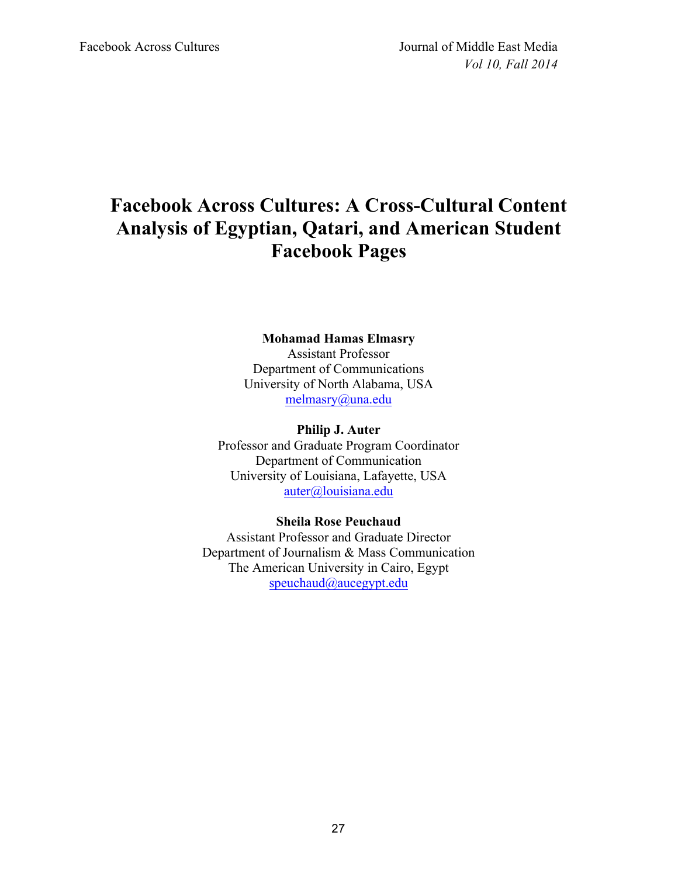# **Facebook Across Cultures: A Cross-Cultural Content Analysis of Egyptian, Qatari, and American Student Facebook Pages**

# **Mohamad Hamas Elmasry** Assistant Professor Department of Communications University of North Alabama, USA melmasry@una.edu

**Philip J. Auter** Professor and Graduate Program Coordinator Department of Communication University of Louisiana, Lafayette, USA auter@louisiana.edu

## **Sheila Rose Peuchaud** Assistant Professor and Graduate Director Department of Journalism & Mass Communication The American University in Cairo, Egypt

speuchaud@aucegypt.edu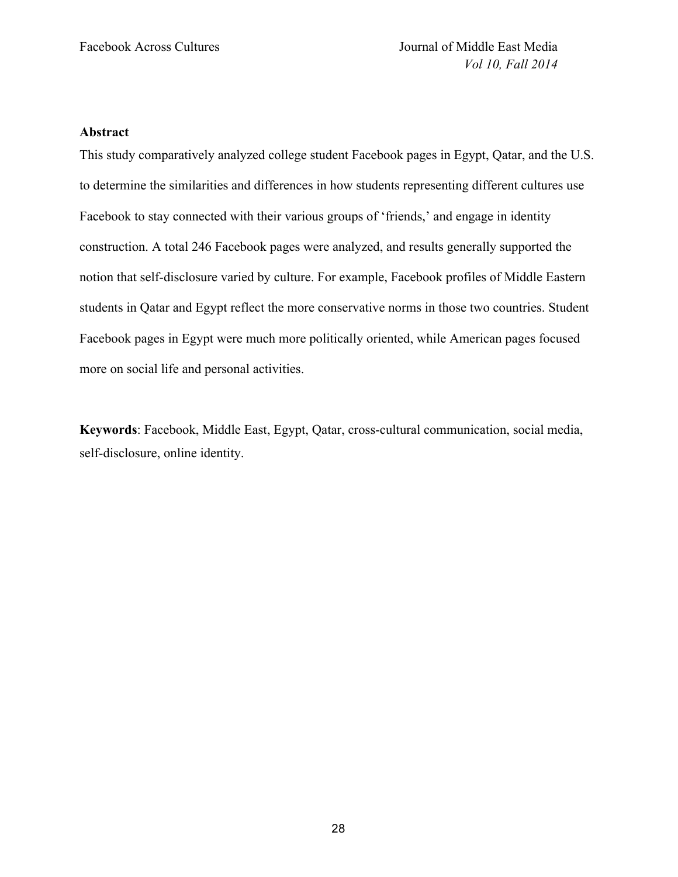## **Abstract**

This study comparatively analyzed college student Facebook pages in Egypt, Qatar, and the U.S. to determine the similarities and differences in how students representing different cultures use Facebook to stay connected with their various groups of 'friends,' and engage in identity construction. A total 246 Facebook pages were analyzed, and results generally supported the notion that self-disclosure varied by culture. For example, Facebook profiles of Middle Eastern students in Qatar and Egypt reflect the more conservative norms in those two countries. Student Facebook pages in Egypt were much more politically oriented, while American pages focused more on social life and personal activities.

**Keywords**: Facebook, Middle East, Egypt, Qatar, cross-cultural communication, social media, self-disclosure, online identity.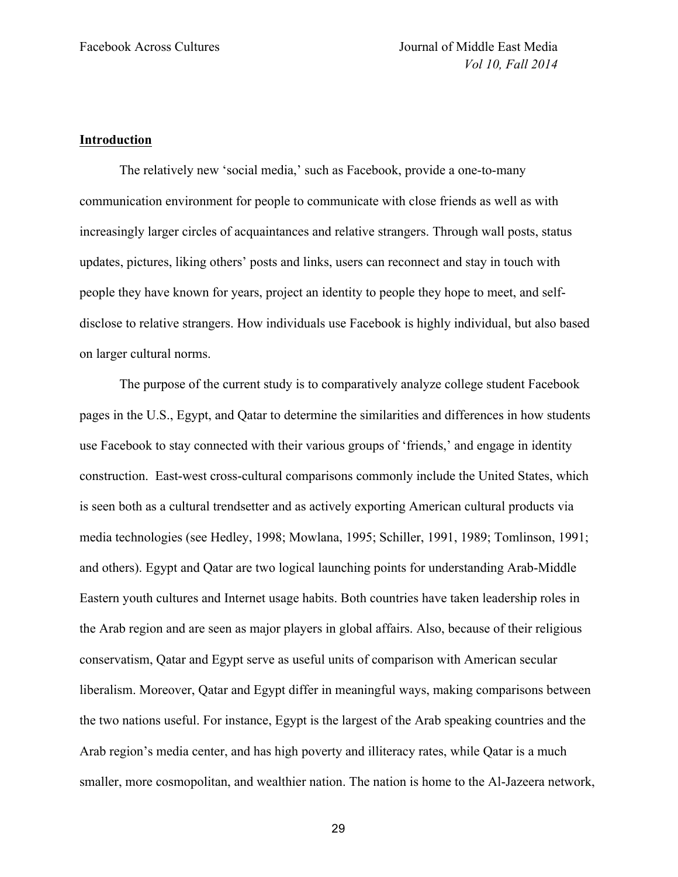## **Introduction**

The relatively new 'social media,' such as Facebook, provide a one-to-many communication environment for people to communicate with close friends as well as with increasingly larger circles of acquaintances and relative strangers. Through wall posts, status updates, pictures, liking others' posts and links, users can reconnect and stay in touch with people they have known for years, project an identity to people they hope to meet, and selfdisclose to relative strangers. How individuals use Facebook is highly individual, but also based on larger cultural norms.

The purpose of the current study is to comparatively analyze college student Facebook pages in the U.S., Egypt, and Qatar to determine the similarities and differences in how students use Facebook to stay connected with their various groups of 'friends,' and engage in identity construction. East-west cross-cultural comparisons commonly include the United States, which is seen both as a cultural trendsetter and as actively exporting American cultural products via media technologies (see Hedley, 1998; Mowlana, 1995; Schiller, 1991, 1989; Tomlinson, 1991; and others). Egypt and Qatar are two logical launching points for understanding Arab-Middle Eastern youth cultures and Internet usage habits. Both countries have taken leadership roles in the Arab region and are seen as major players in global affairs. Also, because of their religious conservatism, Qatar and Egypt serve as useful units of comparison with American secular liberalism. Moreover, Qatar and Egypt differ in meaningful ways, making comparisons between the two nations useful. For instance, Egypt is the largest of the Arab speaking countries and the Arab region's media center, and has high poverty and illiteracy rates, while Qatar is a much smaller, more cosmopolitan, and wealthier nation. The nation is home to the Al-Jazeera network,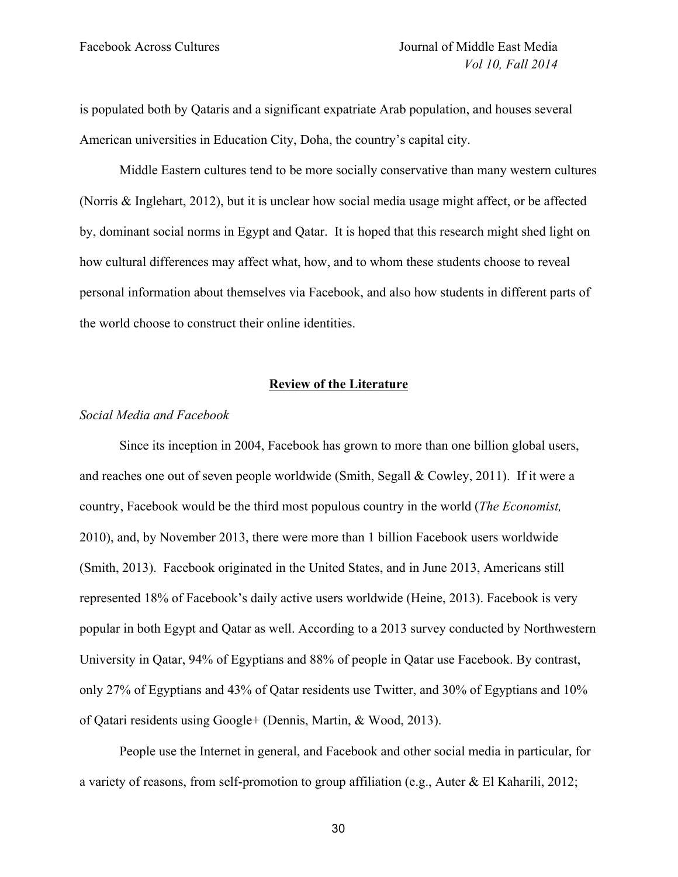is populated both by Qataris and a significant expatriate Arab population, and houses several American universities in Education City, Doha, the country's capital city.

Middle Eastern cultures tend to be more socially conservative than many western cultures (Norris & Inglehart, 2012), but it is unclear how social media usage might affect, or be affected by, dominant social norms in Egypt and Qatar. It is hoped that this research might shed light on how cultural differences may affect what, how, and to whom these students choose to reveal personal information about themselves via Facebook, and also how students in different parts of the world choose to construct their online identities.

## **Review of the Literature**

## *Social Media and Facebook*

Since its inception in 2004, Facebook has grown to more than one billion global users, and reaches one out of seven people worldwide (Smith, Segall & Cowley, 2011). If it were a country, Facebook would be the third most populous country in the world (*The Economist,*  2010), and, by November 2013, there were more than 1 billion Facebook users worldwide (Smith, 2013). Facebook originated in the United States, and in June 2013, Americans still represented 18% of Facebook's daily active users worldwide (Heine, 2013). Facebook is very popular in both Egypt and Qatar as well. According to a 2013 survey conducted by Northwestern University in Qatar, 94% of Egyptians and 88% of people in Qatar use Facebook. By contrast, only 27% of Egyptians and 43% of Qatar residents use Twitter, and 30% of Egyptians and 10% of Qatari residents using Google+ (Dennis, Martin, & Wood, 2013).

People use the Internet in general, and Facebook and other social media in particular, for a variety of reasons, from self-promotion to group affiliation (e.g., Auter & El Kaharili, 2012;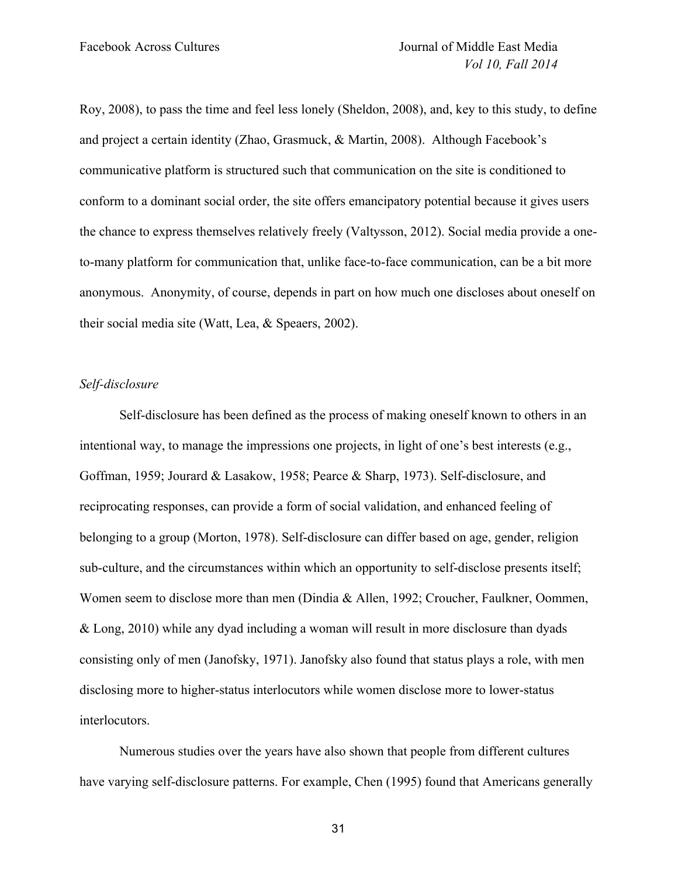Roy, 2008), to pass the time and feel less lonely (Sheldon, 2008), and, key to this study, to define and project a certain identity (Zhao, Grasmuck, & Martin, 2008). Although Facebook's communicative platform is structured such that communication on the site is conditioned to conform to a dominant social order, the site offers emancipatory potential because it gives users the chance to express themselves relatively freely (Valtysson, 2012). Social media provide a oneto-many platform for communication that, unlike face-to-face communication, can be a bit more anonymous. Anonymity, of course, depends in part on how much one discloses about oneself on their social media site (Watt, Lea, & Speaers, 2002).

## *Self-disclosure*

Self-disclosure has been defined as the process of making oneself known to others in an intentional way, to manage the impressions one projects, in light of one's best interests (e.g., Goffman, 1959; Jourard & Lasakow, 1958; Pearce & Sharp, 1973). Self-disclosure, and reciprocating responses, can provide a form of social validation, and enhanced feeling of belonging to a group (Morton, 1978). Self-disclosure can differ based on age, gender, religion sub-culture, and the circumstances within which an opportunity to self-disclose presents itself; Women seem to disclose more than men (Dindia & Allen, 1992; Croucher, Faulkner, Oommen, & Long, 2010) while any dyad including a woman will result in more disclosure than dyads consisting only of men (Janofsky, 1971). Janofsky also found that status plays a role, with men disclosing more to higher-status interlocutors while women disclose more to lower-status interlocutors.

Numerous studies over the years have also shown that people from different cultures have varying self-disclosure patterns. For example, Chen (1995) found that Americans generally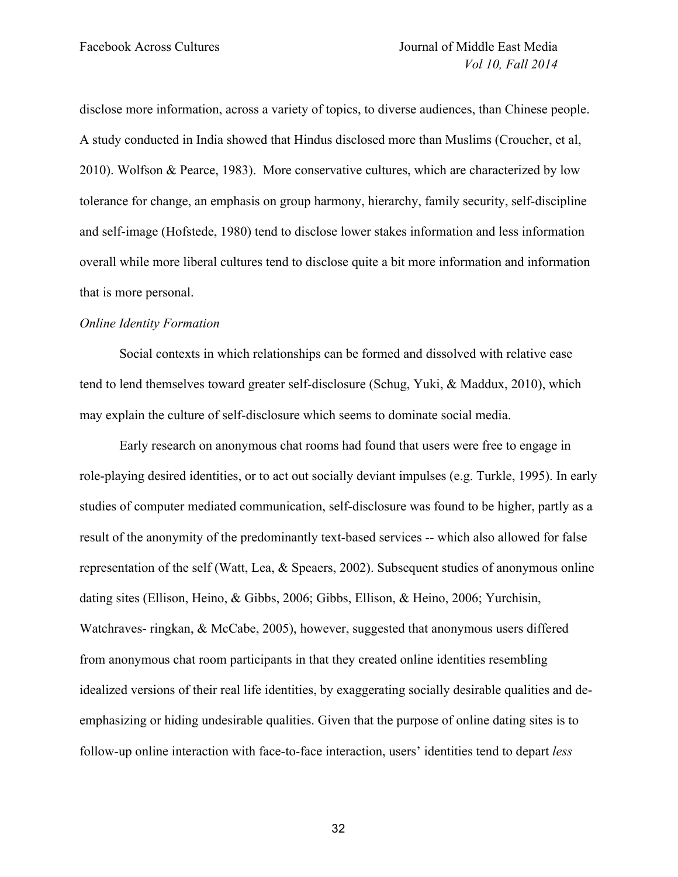disclose more information, across a variety of topics, to diverse audiences, than Chinese people. A study conducted in India showed that Hindus disclosed more than Muslims (Croucher, et al, 2010). Wolfson & Pearce, 1983). More conservative cultures, which are characterized by low tolerance for change, an emphasis on group harmony, hierarchy, family security, self-discipline and self-image (Hofstede, 1980) tend to disclose lower stakes information and less information overall while more liberal cultures tend to disclose quite a bit more information and information that is more personal.

#### *Online Identity Formation*

Social contexts in which relationships can be formed and dissolved with relative ease tend to lend themselves toward greater self-disclosure (Schug, Yuki, & Maddux, 2010), which may explain the culture of self-disclosure which seems to dominate social media.

Early research on anonymous chat rooms had found that users were free to engage in role-playing desired identities, or to act out socially deviant impulses (e.g. Turkle, 1995). In early studies of computer mediated communication, self-disclosure was found to be higher, partly as a result of the anonymity of the predominantly text-based services -- which also allowed for false representation of the self (Watt, Lea, & Speaers, 2002). Subsequent studies of anonymous online dating sites (Ellison, Heino, & Gibbs, 2006; Gibbs, Ellison, & Heino, 2006; Yurchisin, Watchraves- ringkan, & McCabe, 2005), however, suggested that anonymous users differed from anonymous chat room participants in that they created online identities resembling idealized versions of their real life identities, by exaggerating socially desirable qualities and deemphasizing or hiding undesirable qualities. Given that the purpose of online dating sites is to follow-up online interaction with face-to-face interaction, users' identities tend to depart *less*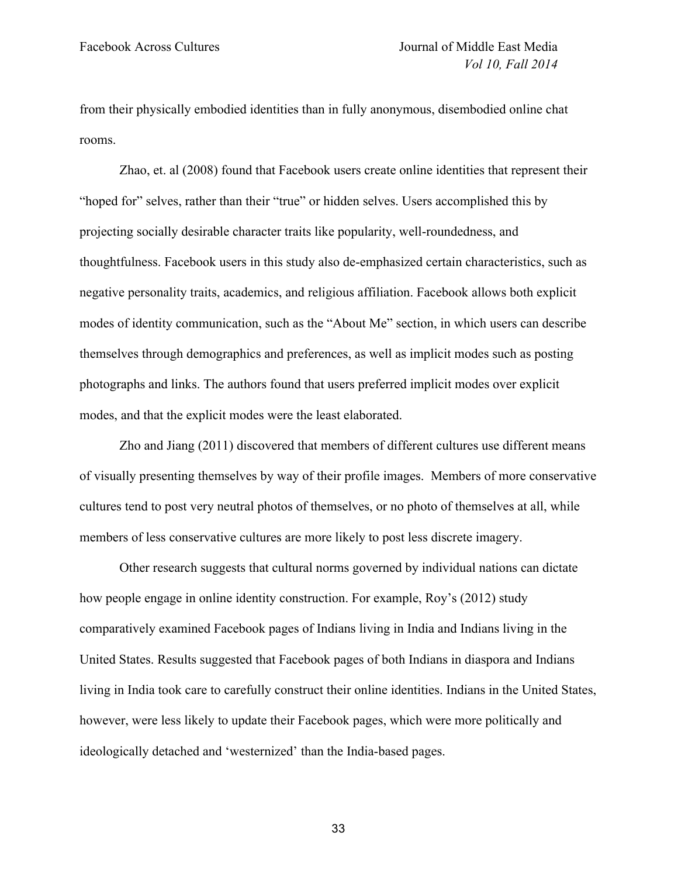from their physically embodied identities than in fully anonymous, disembodied online chat rooms.

Zhao, et. al (2008) found that Facebook users create online identities that represent their "hoped for" selves, rather than their "true" or hidden selves. Users accomplished this by projecting socially desirable character traits like popularity, well-roundedness, and thoughtfulness. Facebook users in this study also de-emphasized certain characteristics, such as negative personality traits, academics, and religious affiliation. Facebook allows both explicit modes of identity communication, such as the "About Me" section, in which users can describe themselves through demographics and preferences, as well as implicit modes such as posting photographs and links. The authors found that users preferred implicit modes over explicit modes, and that the explicit modes were the least elaborated.

Zho and Jiang (2011) discovered that members of different cultures use different means of visually presenting themselves by way of their profile images. Members of more conservative cultures tend to post very neutral photos of themselves, or no photo of themselves at all, while members of less conservative cultures are more likely to post less discrete imagery.

Other research suggests that cultural norms governed by individual nations can dictate how people engage in online identity construction. For example, Roy's (2012) study comparatively examined Facebook pages of Indians living in India and Indians living in the United States. Results suggested that Facebook pages of both Indians in diaspora and Indians living in India took care to carefully construct their online identities. Indians in the United States, however, were less likely to update their Facebook pages, which were more politically and ideologically detached and 'westernized' than the India-based pages.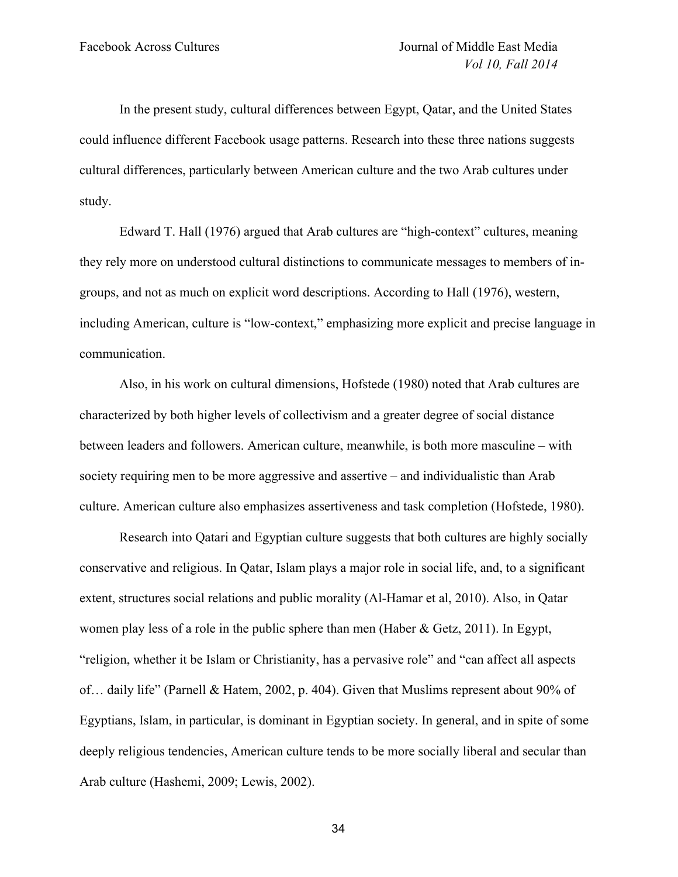In the present study, cultural differences between Egypt, Qatar, and the United States could influence different Facebook usage patterns. Research into these three nations suggests cultural differences, particularly between American culture and the two Arab cultures under study.

Edward T. Hall (1976) argued that Arab cultures are "high-context" cultures, meaning they rely more on understood cultural distinctions to communicate messages to members of ingroups, and not as much on explicit word descriptions. According to Hall (1976), western, including American, culture is "low-context," emphasizing more explicit and precise language in communication.

Also, in his work on cultural dimensions, Hofstede (1980) noted that Arab cultures are characterized by both higher levels of collectivism and a greater degree of social distance between leaders and followers. American culture, meanwhile, is both more masculine – with society requiring men to be more aggressive and assertive – and individualistic than Arab culture. American culture also emphasizes assertiveness and task completion (Hofstede, 1980).

Research into Qatari and Egyptian culture suggests that both cultures are highly socially conservative and religious. In Qatar, Islam plays a major role in social life, and, to a significant extent, structures social relations and public morality (Al-Hamar et al, 2010). Also, in Qatar women play less of a role in the public sphere than men (Haber  $\&$  Getz, 2011). In Egypt, "religion, whether it be Islam or Christianity, has a pervasive role" and "can affect all aspects of… daily life" (Parnell & Hatem, 2002, p. 404). Given that Muslims represent about 90% of Egyptians, Islam, in particular, is dominant in Egyptian society. In general, and in spite of some deeply religious tendencies, American culture tends to be more socially liberal and secular than Arab culture (Hashemi, 2009; Lewis, 2002).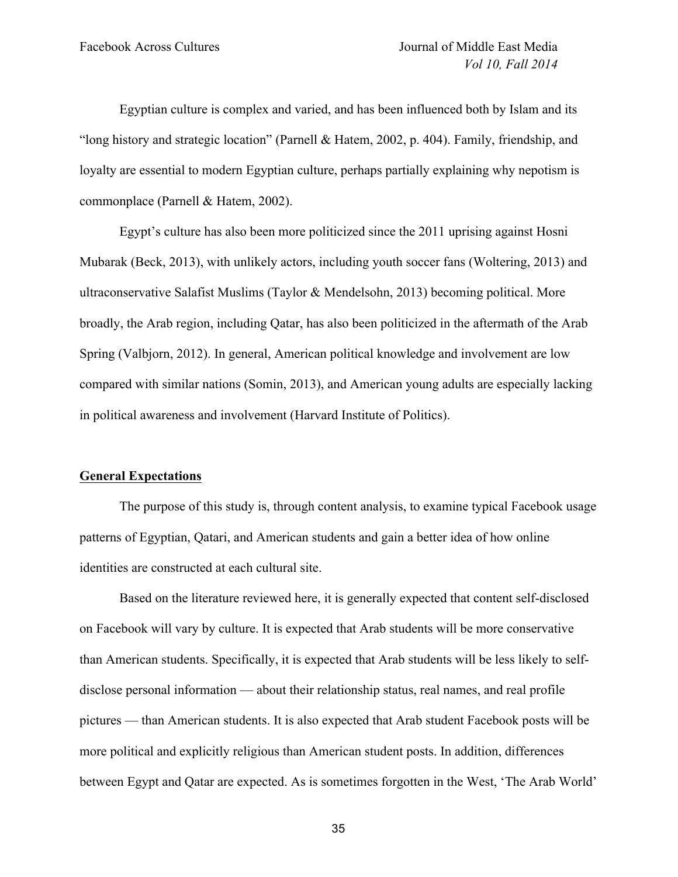Egyptian culture is complex and varied, and has been influenced both by Islam and its "long history and strategic location" (Parnell & Hatem, 2002, p. 404). Family, friendship, and loyalty are essential to modern Egyptian culture, perhaps partially explaining why nepotism is commonplace (Parnell & Hatem, 2002).

Egypt's culture has also been more politicized since the 2011 uprising against Hosni Mubarak (Beck, 2013), with unlikely actors, including youth soccer fans (Woltering, 2013) and ultraconservative Salafist Muslims (Taylor & Mendelsohn, 2013) becoming political. More broadly, the Arab region, including Qatar, has also been politicized in the aftermath of the Arab Spring (Valbjorn, 2012). In general, American political knowledge and involvement are low compared with similar nations (Somin, 2013), and American young adults are especially lacking in political awareness and involvement (Harvard Institute of Politics).

## **General Expectations**

The purpose of this study is, through content analysis, to examine typical Facebook usage patterns of Egyptian, Qatari, and American students and gain a better idea of how online identities are constructed at each cultural site.

Based on the literature reviewed here, it is generally expected that content self-disclosed on Facebook will vary by culture. It is expected that Arab students will be more conservative than American students. Specifically, it is expected that Arab students will be less likely to selfdisclose personal information — about their relationship status, real names, and real profile pictures — than American students. It is also expected that Arab student Facebook posts will be more political and explicitly religious than American student posts. In addition, differences between Egypt and Qatar are expected. As is sometimes forgotten in the West, 'The Arab World'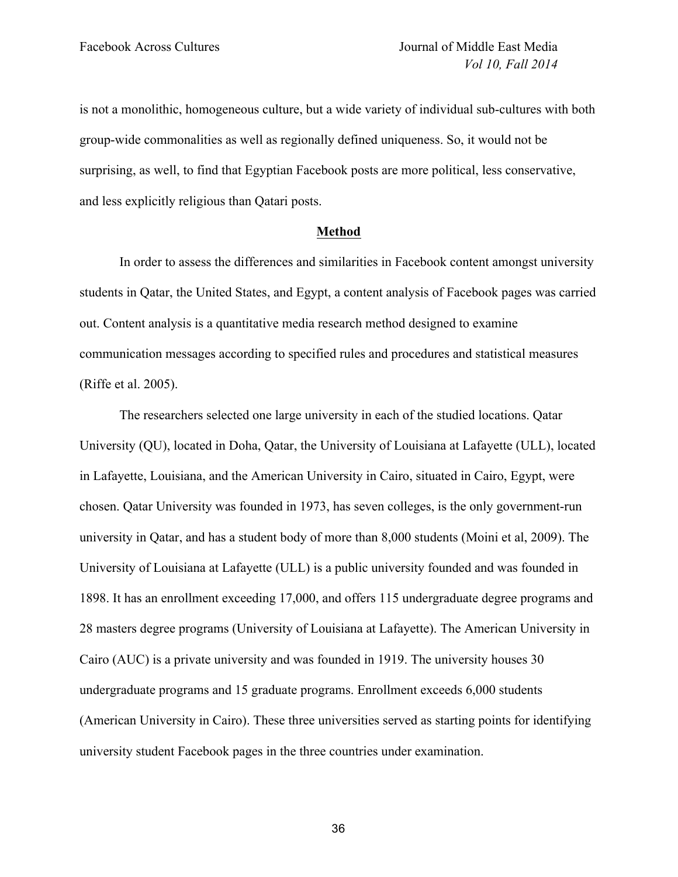is not a monolithic, homogeneous culture, but a wide variety of individual sub-cultures with both group-wide commonalities as well as regionally defined uniqueness. So, it would not be surprising, as well, to find that Egyptian Facebook posts are more political, less conservative, and less explicitly religious than Qatari posts.

#### **Method**

In order to assess the differences and similarities in Facebook content amongst university students in Qatar, the United States, and Egypt, a content analysis of Facebook pages was carried out. Content analysis is a quantitative media research method designed to examine communication messages according to specified rules and procedures and statistical measures (Riffe et al. 2005).

The researchers selected one large university in each of the studied locations. Qatar University (QU), located in Doha, Qatar, the University of Louisiana at Lafayette (ULL), located in Lafayette, Louisiana, and the American University in Cairo, situated in Cairo, Egypt, were chosen. Qatar University was founded in 1973, has seven colleges, is the only government-run university in Qatar, and has a student body of more than 8,000 students (Moini et al, 2009). The University of Louisiana at Lafayette (ULL) is a public university founded and was founded in 1898. It has an enrollment exceeding 17,000, and offers 115 undergraduate degree programs and 28 masters degree programs (University of Louisiana at Lafayette). The American University in Cairo (AUC) is a private university and was founded in 1919. The university houses 30 undergraduate programs and 15 graduate programs. Enrollment exceeds 6,000 students (American University in Cairo). These three universities served as starting points for identifying university student Facebook pages in the three countries under examination.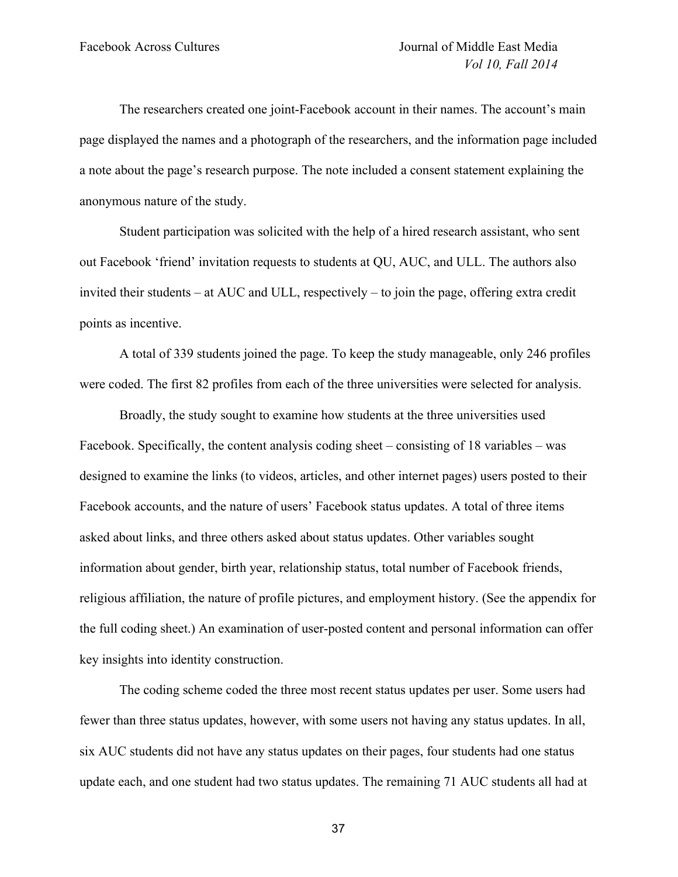The researchers created one joint-Facebook account in their names. The account's main page displayed the names and a photograph of the researchers, and the information page included a note about the page's research purpose. The note included a consent statement explaining the anonymous nature of the study.

Student participation was solicited with the help of a hired research assistant, who sent out Facebook 'friend' invitation requests to students at QU, AUC, and ULL. The authors also invited their students – at AUC and ULL, respectively – to join the page, offering extra credit points as incentive.

A total of 339 students joined the page. To keep the study manageable, only 246 profiles were coded. The first 82 profiles from each of the three universities were selected for analysis.

Broadly, the study sought to examine how students at the three universities used Facebook. Specifically, the content analysis coding sheet – consisting of 18 variables – was designed to examine the links (to videos, articles, and other internet pages) users posted to their Facebook accounts, and the nature of users' Facebook status updates. A total of three items asked about links, and three others asked about status updates. Other variables sought information about gender, birth year, relationship status, total number of Facebook friends, religious affiliation, the nature of profile pictures, and employment history. (See the appendix for the full coding sheet.) An examination of user-posted content and personal information can offer key insights into identity construction.

The coding scheme coded the three most recent status updates per user. Some users had fewer than three status updates, however, with some users not having any status updates. In all, six AUC students did not have any status updates on their pages, four students had one status update each, and one student had two status updates. The remaining 71 AUC students all had at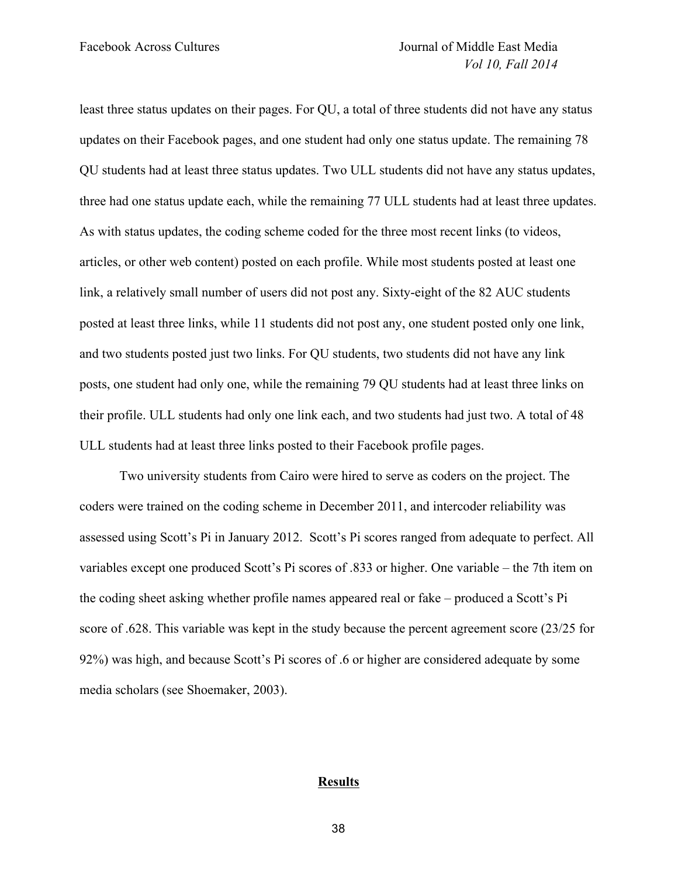least three status updates on their pages. For QU, a total of three students did not have any status updates on their Facebook pages, and one student had only one status update. The remaining 78 QU students had at least three status updates. Two ULL students did not have any status updates, three had one status update each, while the remaining 77 ULL students had at least three updates. As with status updates, the coding scheme coded for the three most recent links (to videos, articles, or other web content) posted on each profile. While most students posted at least one link, a relatively small number of users did not post any. Sixty-eight of the 82 AUC students posted at least three links, while 11 students did not post any, one student posted only one link, and two students posted just two links. For QU students, two students did not have any link posts, one student had only one, while the remaining 79 QU students had at least three links on their profile. ULL students had only one link each, and two students had just two. A total of 48 ULL students had at least three links posted to their Facebook profile pages.

Two university students from Cairo were hired to serve as coders on the project. The coders were trained on the coding scheme in December 2011, and intercoder reliability was assessed using Scott's Pi in January 2012. Scott's Pi scores ranged from adequate to perfect. All variables except one produced Scott's Pi scores of .833 or higher. One variable – the 7th item on the coding sheet asking whether profile names appeared real or fake – produced a Scott's Pi score of .628. This variable was kept in the study because the percent agreement score (23/25 for 92%) was high, and because Scott's Pi scores of .6 or higher are considered adequate by some media scholars (see Shoemaker, 2003).

#### **Results**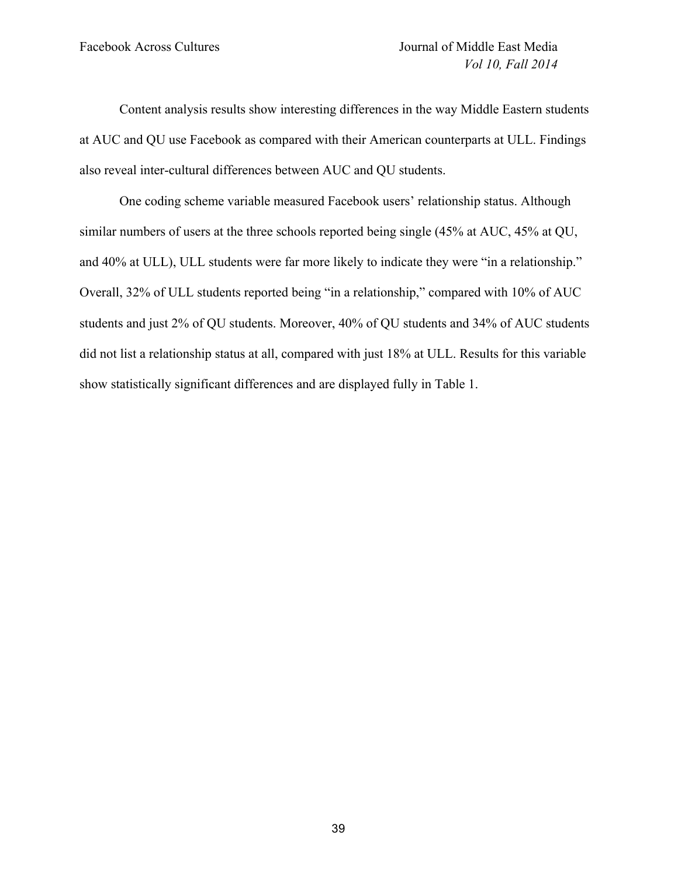Content analysis results show interesting differences in the way Middle Eastern students at AUC and QU use Facebook as compared with their American counterparts at ULL. Findings also reveal inter-cultural differences between AUC and QU students.

One coding scheme variable measured Facebook users' relationship status. Although similar numbers of users at the three schools reported being single (45% at AUC, 45% at QU, and 40% at ULL), ULL students were far more likely to indicate they were "in a relationship." Overall, 32% of ULL students reported being "in a relationship," compared with 10% of AUC students and just 2% of QU students. Moreover, 40% of QU students and 34% of AUC students did not list a relationship status at all, compared with just 18% at ULL. Results for this variable show statistically significant differences and are displayed fully in Table 1.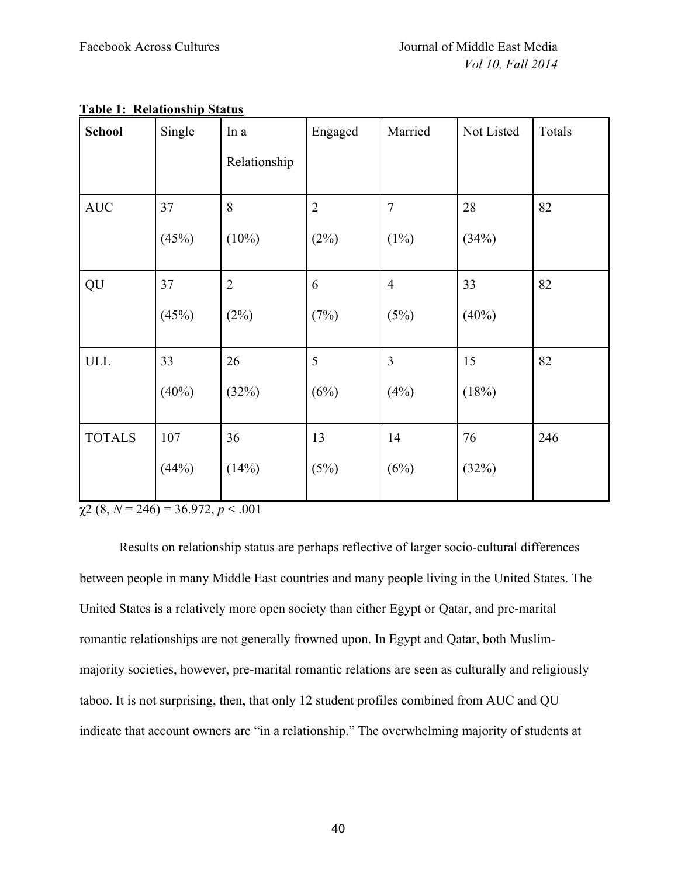| <b>School</b> | Single   | In a           | Engaged        | Married        | Not Listed | Totals |
|---------------|----------|----------------|----------------|----------------|------------|--------|
|               |          | Relationship   |                |                |            |        |
| <b>AUC</b>    | 37       | 8              | $\overline{2}$ | $\overline{7}$ | 28         | 82     |
|               | (45%)    | $(10\%)$       | (2%)           | $(1\%)$        | (34%)      |        |
| QU            | 37       | $\overline{2}$ | 6              | $\overline{4}$ | 33         | 82     |
|               | (45%)    | (2%)           | (7%)           | (5%)           | $(40\%)$   |        |
| ULL           | 33       | 26             | 5              | $\overline{3}$ | 15         | 82     |
|               | $(40\%)$ | (32%)          | (6%)           | (4%)           | (18%)      |        |
| <b>TOTALS</b> | 107      | 36             | 13             | 14             | 76         | 246    |
|               | (44%)    | (14%)          | (5%)           | (6%)           | (32%)      |        |

# **Table 1: Relationship Status**

 $\chi$ 2 (8, *N* = 246) = 36.972, *p* < .001

Results on relationship status are perhaps reflective of larger socio-cultural differences between people in many Middle East countries and many people living in the United States. The United States is a relatively more open society than either Egypt or Qatar, and pre-marital romantic relationships are not generally frowned upon. In Egypt and Qatar, both Muslimmajority societies, however, pre-marital romantic relations are seen as culturally and religiously taboo. It is not surprising, then, that only 12 student profiles combined from AUC and QU indicate that account owners are "in a relationship." The overwhelming majority of students at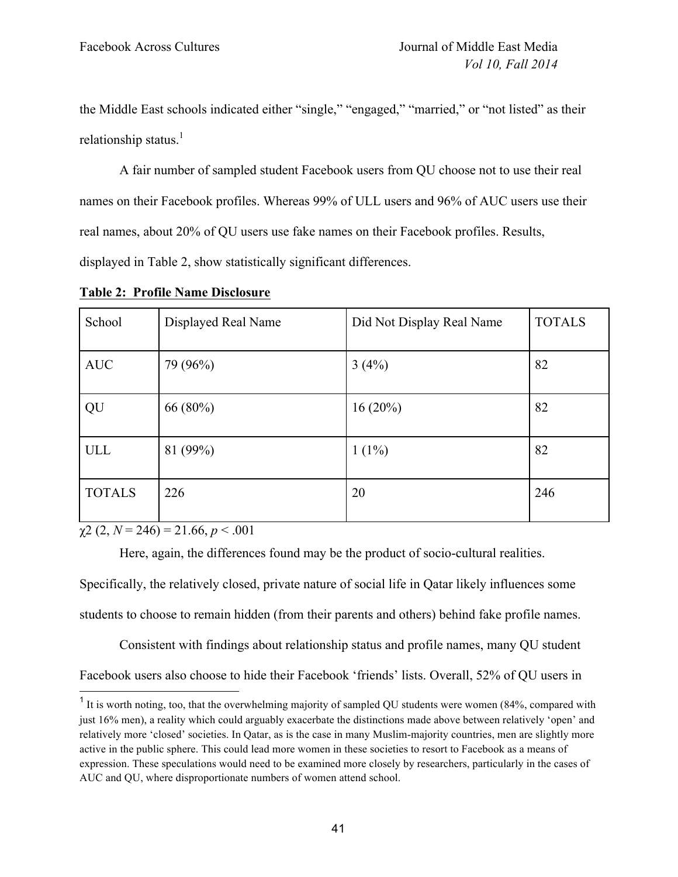the Middle East schools indicated either "single," "engaged," "married," or "not listed" as their relationship status. $<sup>1</sup>$ </sup>

A fair number of sampled student Facebook users from QU choose not to use their real names on their Facebook profiles. Whereas 99% of ULL users and 96% of AUC users use their real names, about 20% of QU users use fake names on their Facebook profiles. Results, displayed in Table 2, show statistically significant differences.

| School        | Displayed Real Name | Did Not Display Real Name | <b>TOTALS</b> |
|---------------|---------------------|---------------------------|---------------|
| <b>AUC</b>    | 79 (96%)            | 3(4%)                     | 82            |
| QU            | 66 (80%)            | $16(20\%)$                | 82            |
| ULL           | 81 (99%)            | $1(1\%)$                  | 82            |
| <b>TOTALS</b> | 226                 | 20                        | 246           |

**Table 2: Profile Name Disclosure**

 $\chi$ 2 (2, *N* = 246) = 21.66, *p* < .001

Here, again, the differences found may be the product of socio-cultural realities. Specifically, the relatively closed, private nature of social life in Qatar likely influences some students to choose to remain hidden (from their parents and others) behind fake profile names.

Consistent with findings about relationship status and profile names, many QU student Facebook users also choose to hide their Facebook 'friends' lists. Overall, 52% of QU users in

<sup>&</sup>lt;sup>1</sup> It is worth noting, too, that the overwhelming majority of sampled QU students were women (84%, compared with just 16% men), a reality which could arguably exacerbate the distinctions made above between relatively 'open' and relatively more 'closed' societies. In Qatar, as is the case in many Muslim-majority countries, men are slightly more active in the public sphere. This could lead more women in these societies to resort to Facebook as a means of expression. These speculations would need to be examined more closely by researchers, particularly in the cases of AUC and QU, where disproportionate numbers of women attend school.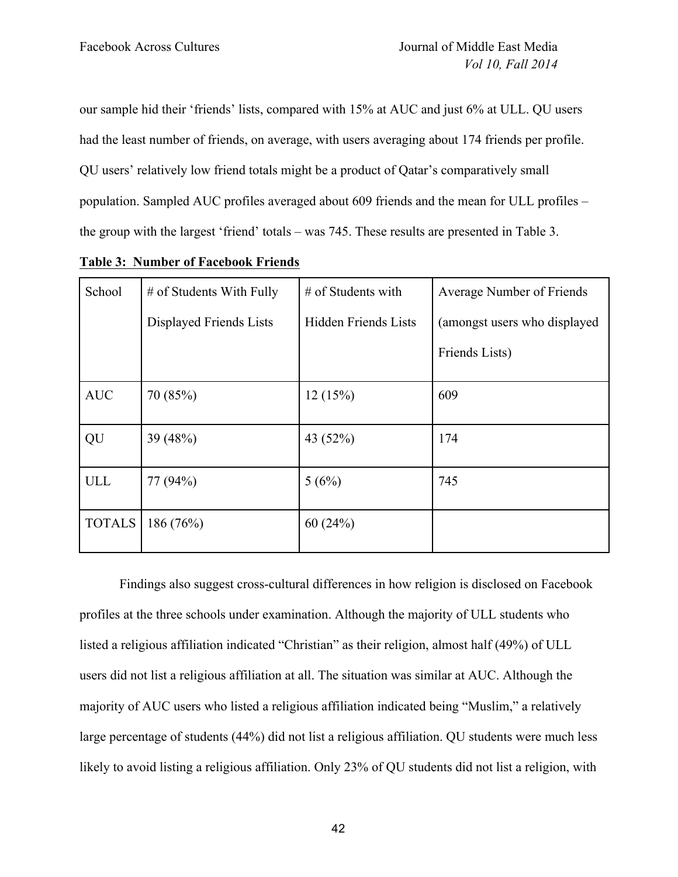our sample hid their 'friends' lists, compared with 15% at AUC and just 6% at ULL. QU users had the least number of friends, on average, with users averaging about 174 friends per profile. QU users' relatively low friend totals might be a product of Qatar's comparatively small population. Sampled AUC profiles averaged about 609 friends and the mean for ULL profiles – the group with the largest 'friend' totals – was 745. These results are presented in Table 3.

| School        | # of Students With Fully | # of Students with          | Average Number of Friends    |
|---------------|--------------------------|-----------------------------|------------------------------|
|               | Displayed Friends Lists  | <b>Hidden Friends Lists</b> | (amongst users who displayed |
|               |                          |                             | Friends Lists)               |
| <b>AUC</b>    | 70 (85%)                 | 12(15%)                     | 609                          |
| QU            | 39 (48%)                 | 43 (52%)                    | 174                          |
| <b>ULL</b>    | 77 (94%)                 | 5(6%)                       | 745                          |
| <b>TOTALS</b> | 186(76%)                 | 60(24%)                     |                              |

**Table 3: Number of Facebook Friends**

Findings also suggest cross-cultural differences in how religion is disclosed on Facebook profiles at the three schools under examination. Although the majority of ULL students who listed a religious affiliation indicated "Christian" as their religion, almost half (49%) of ULL users did not list a religious affiliation at all. The situation was similar at AUC. Although the majority of AUC users who listed a religious affiliation indicated being "Muslim," a relatively large percentage of students (44%) did not list a religious affiliation. QU students were much less likely to avoid listing a religious affiliation. Only 23% of QU students did not list a religion, with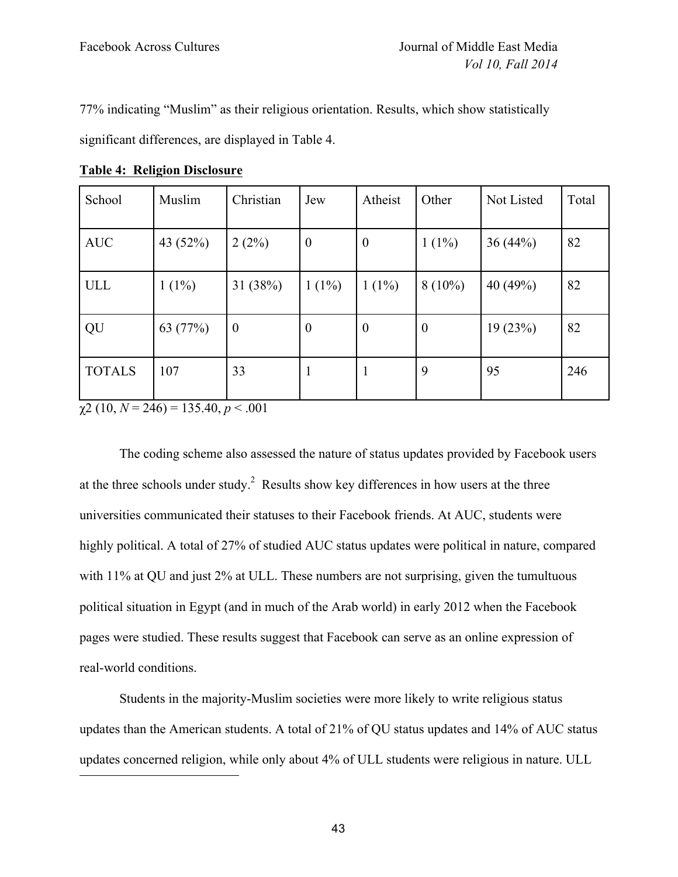77% indicating "Muslim" as their religious orientation. Results, which show statistically

significant differences, are displayed in Table 4.

| School        | Muslim   | Christian        | Jew              | Atheist          | Other          | Not Listed | Total |
|---------------|----------|------------------|------------------|------------------|----------------|------------|-------|
| <b>AUC</b>    | 43 (52%) | 2(2%)            | $\boldsymbol{0}$ | $\boldsymbol{0}$ | $1(1\%)$       | 36(44%)    | 82    |
| ULL           | $1(1\%)$ | 31 (38%)         | $1(1\%)$         | $1(1\%)$         | $8(10\%)$      | 40(49%)    | 82    |
| QU            | 63 (77%) | $\boldsymbol{0}$ | $\boldsymbol{0}$ | $\boldsymbol{0}$ | $\overline{0}$ | 19(23%)    | 82    |
| <b>TOTALS</b> | 107      | 33               | $\mathbf{1}$     | $\mathbf{1}$     | 9              | 95         | 246   |

**Table 4: Religion Disclosure**

 $\gamma$ 2 (10, *N* = 246) = 135.40, *p* < .001

The coding scheme also assessed the nature of status updates provided by Facebook users at the three schools under study.<sup>2</sup> Results show key differences in how users at the three universities communicated their statuses to their Facebook friends. At AUC, students were highly political. A total of 27% of studied AUC status updates were political in nature, compared with 11% at QU and just 2% at ULL. These numbers are not surprising, given the tumultuous political situation in Egypt (and in much of the Arab world) in early 2012 when the Facebook pages were studied. These results suggest that Facebook can serve as an online expression of real-world conditions.

Students in the majority-Muslim societies were more likely to write religious status updates than the American students. A total of 21% of QU status updates and 14% of AUC status updates concerned religion, while only about 4% of ULL students were religious in nature. ULL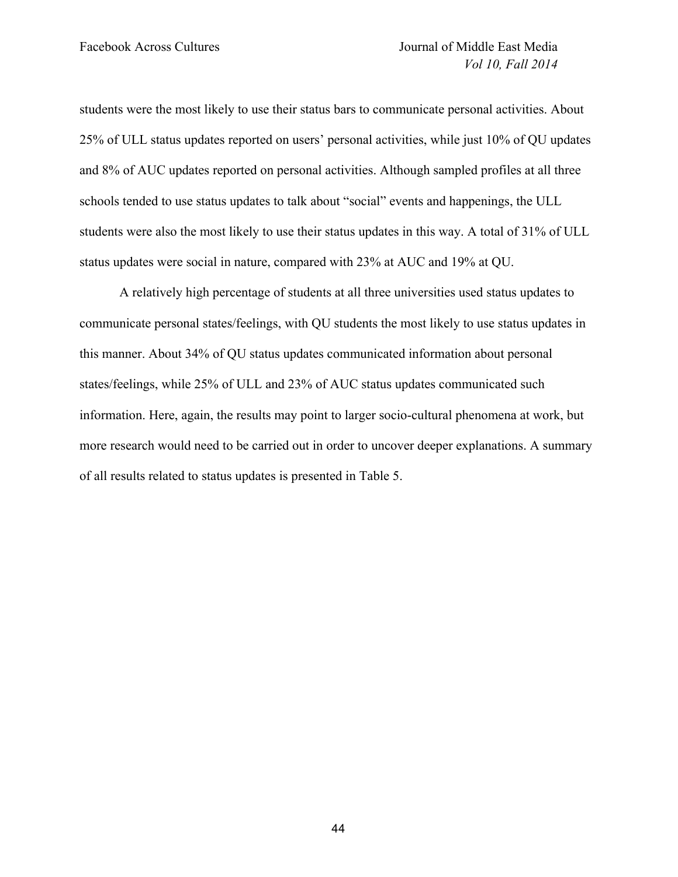students were the most likely to use their status bars to communicate personal activities. About 25% of ULL status updates reported on users' personal activities, while just 10% of QU updates and 8% of AUC updates reported on personal activities. Although sampled profiles at all three schools tended to use status updates to talk about "social" events and happenings, the ULL students were also the most likely to use their status updates in this way. A total of 31% of ULL status updates were social in nature, compared with 23% at AUC and 19% at QU.

A relatively high percentage of students at all three universities used status updates to communicate personal states/feelings, with QU students the most likely to use status updates in this manner. About 34% of QU status updates communicated information about personal states/feelings, while 25% of ULL and 23% of AUC status updates communicated such information. Here, again, the results may point to larger socio-cultural phenomena at work, but more research would need to be carried out in order to uncover deeper explanations. A summary of all results related to status updates is presented in Table 5.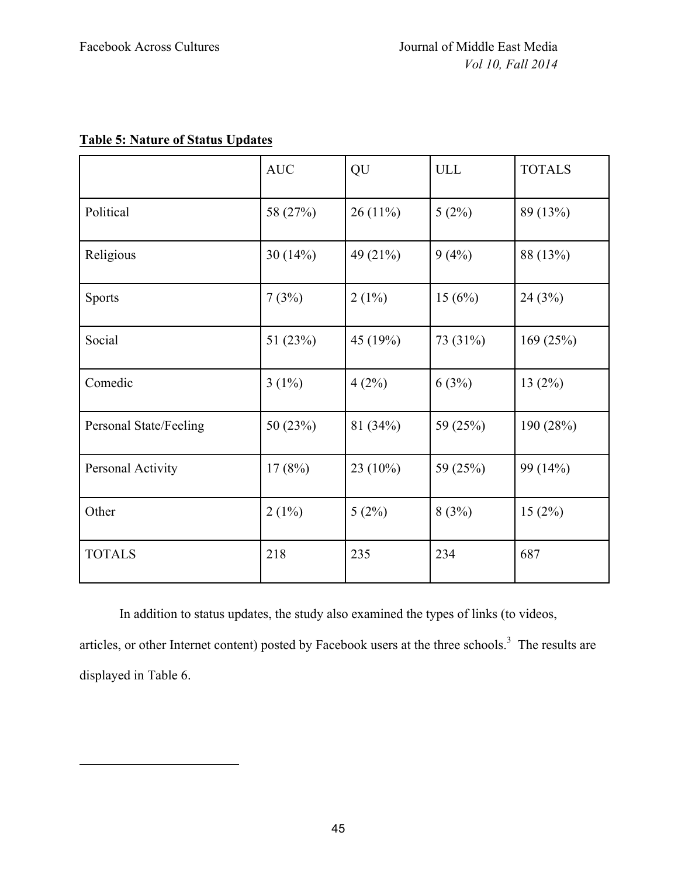$\overline{a}$ 

# **Table 5: Nature of Status Updates**

|                        | <b>AUC</b> | QU          | <b>ULL</b> | <b>TOTALS</b> |
|------------------------|------------|-------------|------------|---------------|
| Political              | 58 (27%)   | 26(11%)     | 5(2%)      | 89 (13%)      |
| Religious              | 30 $(14%)$ | 49 (21%)    | 9(4%)      | 88 (13%)      |
| <b>Sports</b>          | 7(3%)      | $2(1\%)$    | 15(6%)     | 24(3%)        |
| Social                 | 51 $(23%)$ | 45 (19%)    | 73 (31%)   | 169(25%)      |
| Comedic                | $3(1\%)$   | 4(2%)       | 6(3%)      | 13(2%)        |
| Personal State/Feeling | 50(23%)    | 81(34%)     | 59 (25%)   | 190 (28%)     |
| Personal Activity      | 17(8%)     | 23 $(10\%)$ | 59 (25%)   | 99 (14%)      |
| Other                  | $2(1\%)$   | 5(2%)       | 8(3%)      | 15(2%)        |
| <b>TOTALS</b>          | 218        | 235         | 234        | 687           |

In addition to status updates, the study also examined the types of links (to videos, articles, or other Internet content) posted by Facebook users at the three schools.<sup>3</sup> The results are displayed in Table 6.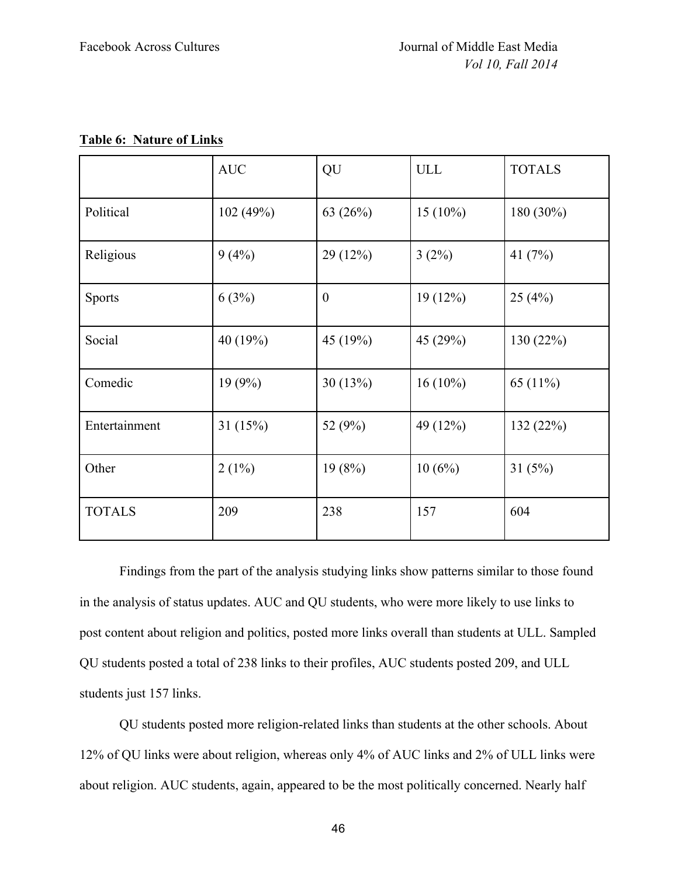|  | <b>Table 6: Nature of Links</b> |  |
|--|---------------------------------|--|
|  |                                 |  |

|               | <b>AUC</b> | QU             | <b>ULL</b> | <b>TOTALS</b> |
|---------------|------------|----------------|------------|---------------|
| Political     | 102(49%)   | 63 $(26%)$     | $15(10\%)$ | $180(30\%)$   |
| Religious     | 9(4%)      | 29(12%)        | $3(2\%)$   | 41 $(7%)$     |
| <b>Sports</b> | 6(3%)      | $\overline{0}$ | 19(12%)    | 25(4%)        |
| Social        | 40 (19%)   | 45 (19%)       | 45 (29%)   | 130 (22%)     |
| Comedic       | 19(9%)     | 30(13%)        | $16(10\%)$ | 65 $(11\%)$   |
| Entertainment | 31 $(15%)$ | 52 (9%)        | 49 (12%)   | 132(22%)      |
| Other         | $2(1\%)$   | 19(8%)         | 10(6%)     | 31(5%)        |
| <b>TOTALS</b> | 209        | 238            | 157        | 604           |

Findings from the part of the analysis studying links show patterns similar to those found in the analysis of status updates. AUC and QU students, who were more likely to use links to post content about religion and politics, posted more links overall than students at ULL. Sampled QU students posted a total of 238 links to their profiles, AUC students posted 209, and ULL students just 157 links.

QU students posted more religion-related links than students at the other schools. About 12% of QU links were about religion, whereas only 4% of AUC links and 2% of ULL links were about religion. AUC students, again, appeared to be the most politically concerned. Nearly half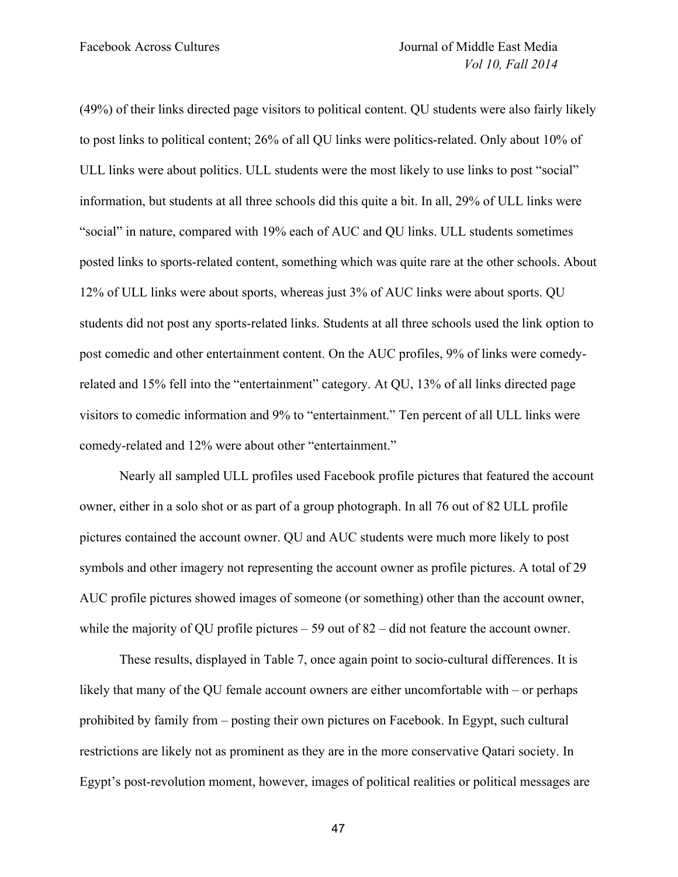(49%) of their links directed page visitors to political content. QU students were also fairly likely to post links to political content; 26% of all QU links were politics-related. Only about 10% of ULL links were about politics. ULL students were the most likely to use links to post "social" information, but students at all three schools did this quite a bit. In all, 29% of ULL links were "social" in nature, compared with 19% each of AUC and QU links. ULL students sometimes posted links to sports-related content, something which was quite rare at the other schools. About 12% of ULL links were about sports, whereas just 3% of AUC links were about sports. QU students did not post any sports-related links. Students at all three schools used the link option to post comedic and other entertainment content. On the AUC profiles, 9% of links were comedyrelated and 15% fell into the "entertainment" category. At QU, 13% of all links directed page visitors to comedic information and 9% to "entertainment." Ten percent of all ULL links were comedy-related and 12% were about other "entertainment."

Nearly all sampled ULL profiles used Facebook profile pictures that featured the account owner, either in a solo shot or as part of a group photograph. In all 76 out of 82 ULL profile pictures contained the account owner. QU and AUC students were much more likely to post symbols and other imagery not representing the account owner as profile pictures. A total of 29 AUC profile pictures showed images of someone (or something) other than the account owner, while the majority of QU profile pictures – 59 out of 82 – did not feature the account owner.

These results, displayed in Table 7, once again point to socio-cultural differences. It is likely that many of the QU female account owners are either uncomfortable with – or perhaps prohibited by family from – posting their own pictures on Facebook. In Egypt, such cultural restrictions are likely not as prominent as they are in the more conservative Qatari society. In Egypt's post-revolution moment, however, images of political realities or political messages are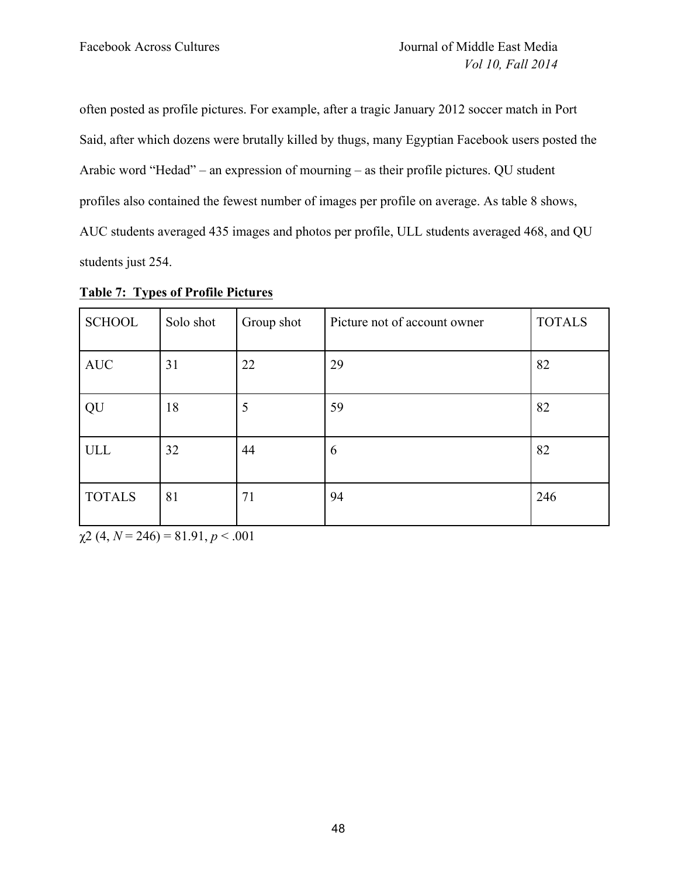often posted as profile pictures. For example, after a tragic January 2012 soccer match in Port Said, after which dozens were brutally killed by thugs, many Egyptian Facebook users posted the Arabic word "Hedad" – an expression of mourning – as their profile pictures. QU student profiles also contained the fewest number of images per profile on average. As table 8 shows, AUC students averaged 435 images and photos per profile, ULL students averaged 468, and QU students just 254.

| <b>SCHOOL</b> | Solo shot | Group shot | Picture not of account owner | <b>TOTALS</b> |
|---------------|-----------|------------|------------------------------|---------------|
| <b>AUC</b>    | 31        | 22         | 29                           | 82            |
| QU            | 18        | 5          | 59                           | 82            |
| ULL           | 32        | 44         | 6                            | 82            |
| <b>TOTALS</b> | 81        | 71         | 94                           | 246           |

**Table 7: Types of Profile Pictures**

 $\chi$ 2 (4, *N* = 246) = 81.91, *p* < .001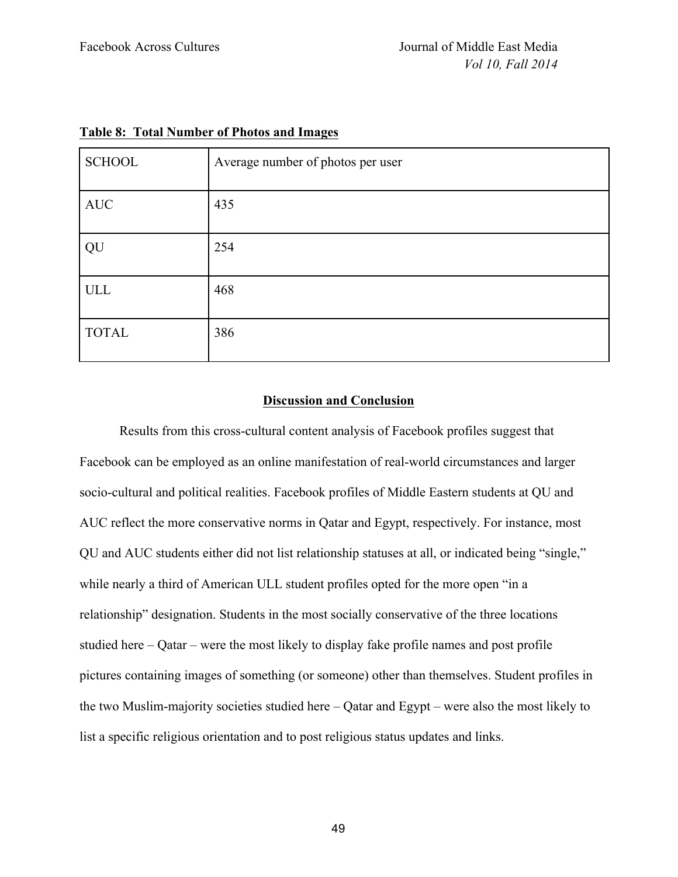| <b>SCHOOL</b> | Average number of photos per user |
|---------------|-----------------------------------|
| $\mbox{AUC}$  | 435                               |
| QU            | 254                               |
| <b>ULL</b>    | 468                               |
| <b>TOTAL</b>  | 386                               |

# **Table 8: Total Number of Photos and Images**

# **Discussion and Conclusion**

Results from this cross-cultural content analysis of Facebook profiles suggest that Facebook can be employed as an online manifestation of real-world circumstances and larger socio-cultural and political realities. Facebook profiles of Middle Eastern students at QU and AUC reflect the more conservative norms in Qatar and Egypt, respectively. For instance, most QU and AUC students either did not list relationship statuses at all, or indicated being "single," while nearly a third of American ULL student profiles opted for the more open "in a relationship" designation. Students in the most socially conservative of the three locations studied here – Qatar – were the most likely to display fake profile names and post profile pictures containing images of something (or someone) other than themselves. Student profiles in the two Muslim-majority societies studied here – Qatar and Egypt – were also the most likely to list a specific religious orientation and to post religious status updates and links.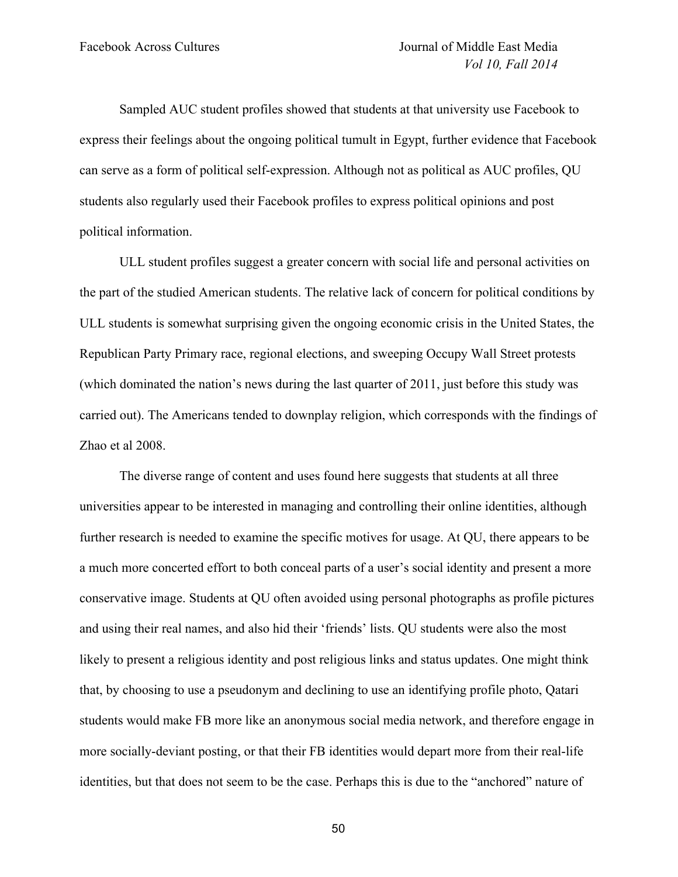Sampled AUC student profiles showed that students at that university use Facebook to express their feelings about the ongoing political tumult in Egypt, further evidence that Facebook can serve as a form of political self-expression. Although not as political as AUC profiles, QU students also regularly used their Facebook profiles to express political opinions and post political information.

ULL student profiles suggest a greater concern with social life and personal activities on the part of the studied American students. The relative lack of concern for political conditions by ULL students is somewhat surprising given the ongoing economic crisis in the United States, the Republican Party Primary race, regional elections, and sweeping Occupy Wall Street protests (which dominated the nation's news during the last quarter of 2011, just before this study was carried out). The Americans tended to downplay religion, which corresponds with the findings of Zhao et al 2008.

The diverse range of content and uses found here suggests that students at all three universities appear to be interested in managing and controlling their online identities, although further research is needed to examine the specific motives for usage. At QU, there appears to be a much more concerted effort to both conceal parts of a user's social identity and present a more conservative image. Students at QU often avoided using personal photographs as profile pictures and using their real names, and also hid their 'friends' lists. QU students were also the most likely to present a religious identity and post religious links and status updates. One might think that, by choosing to use a pseudonym and declining to use an identifying profile photo, Qatari students would make FB more like an anonymous social media network, and therefore engage in more socially-deviant posting, or that their FB identities would depart more from their real-life identities, but that does not seem to be the case. Perhaps this is due to the "anchored" nature of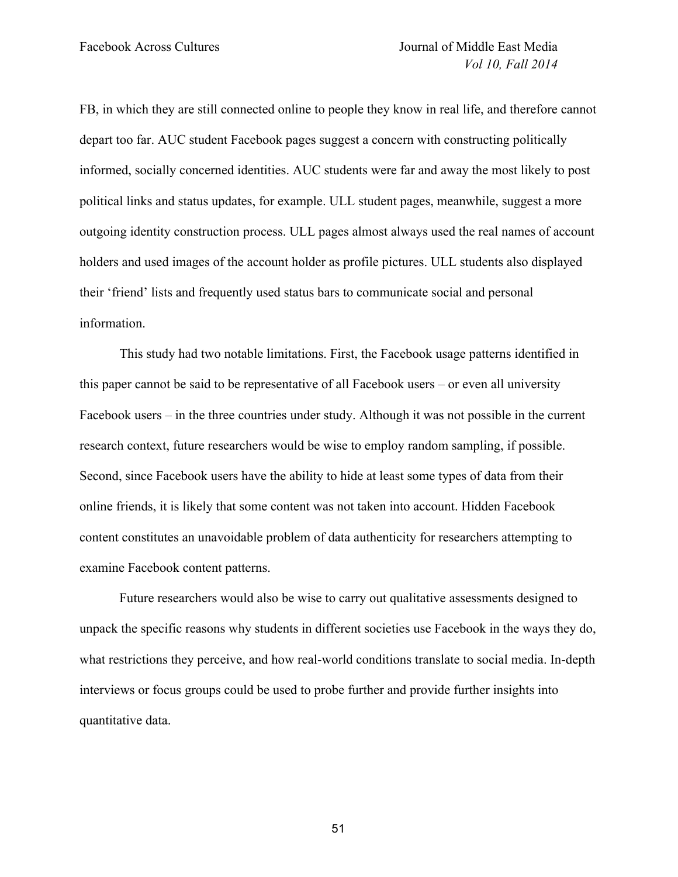FB, in which they are still connected online to people they know in real life, and therefore cannot depart too far. AUC student Facebook pages suggest a concern with constructing politically informed, socially concerned identities. AUC students were far and away the most likely to post political links and status updates, for example. ULL student pages, meanwhile, suggest a more outgoing identity construction process. ULL pages almost always used the real names of account holders and used images of the account holder as profile pictures. ULL students also displayed their 'friend' lists and frequently used status bars to communicate social and personal information.

This study had two notable limitations. First, the Facebook usage patterns identified in this paper cannot be said to be representative of all Facebook users – or even all university Facebook users – in the three countries under study. Although it was not possible in the current research context, future researchers would be wise to employ random sampling, if possible. Second, since Facebook users have the ability to hide at least some types of data from their online friends, it is likely that some content was not taken into account. Hidden Facebook content constitutes an unavoidable problem of data authenticity for researchers attempting to examine Facebook content patterns.

Future researchers would also be wise to carry out qualitative assessments designed to unpack the specific reasons why students in different societies use Facebook in the ways they do, what restrictions they perceive, and how real-world conditions translate to social media. In-depth interviews or focus groups could be used to probe further and provide further insights into quantitative data.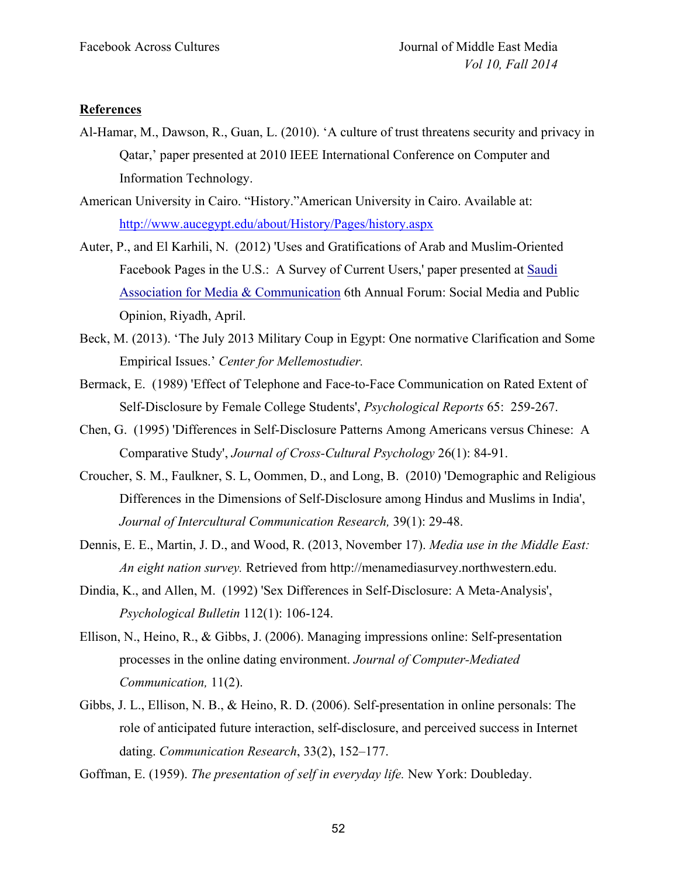# **References**

- Al-Hamar, M., Dawson, R., Guan, L. (2010). 'A culture of trust threatens security and privacy in Qatar,' paper presented at 2010 IEEE International Conference on Computer and Information Technology.
- American University in Cairo. "History."American University in Cairo. Available at: http://www.aucegypt.edu/about/History/Pages/history.aspx
- Auter, P., and El Karhili, N. (2012) 'Uses and Gratifications of Arab and Muslim-Oriented Facebook Pages in the U.S.: A Survey of Current Users,' paper presented at Saudi Association for Media & Communication 6th Annual Forum: Social Media and Public Opinion, Riyadh, April.
- Beck, M. (2013). 'The July 2013 Military Coup in Egypt: One normative Clarification and Some Empirical Issues.' *Center for Mellemostudier.*
- Bermack, E. (1989) 'Effect of Telephone and Face-to-Face Communication on Rated Extent of Self-Disclosure by Female College Students', *Psychological Reports* 65: 259-267.
- Chen, G. (1995) 'Differences in Self-Disclosure Patterns Among Americans versus Chinese: A Comparative Study', *Journal of Cross-Cultural Psychology* 26(1): 84-91.
- Croucher, S. M., Faulkner, S. L, Oommen, D., and Long, B. (2010) 'Demographic and Religious Differences in the Dimensions of Self-Disclosure among Hindus and Muslims in India', *Journal of Intercultural Communication Research,* 39(1): 29-48.
- Dennis, E. E., Martin, J. D., and Wood, R. (2013, November 17). *Media use in the Middle East: An eight nation survey.* Retrieved from http://menamediasurvey.northwestern.edu.
- Dindia, K., and Allen, M. (1992) 'Sex Differences in Self-Disclosure: A Meta-Analysis', *Psychological Bulletin* 112(1): 106-124.
- Ellison, N., Heino, R., & Gibbs, J. (2006). Managing impressions online: Self-presentation processes in the online dating environment. *Journal of Computer-Mediated Communication,* 11(2).
- Gibbs, J. L., Ellison, N. B., & Heino, R. D. (2006). Self-presentation in online personals: The role of anticipated future interaction, self-disclosure, and perceived success in Internet dating. *Communication Research*, 33(2), 152–177.

Goffman, E. (1959). *The presentation of self in everyday life.* New York: Doubleday.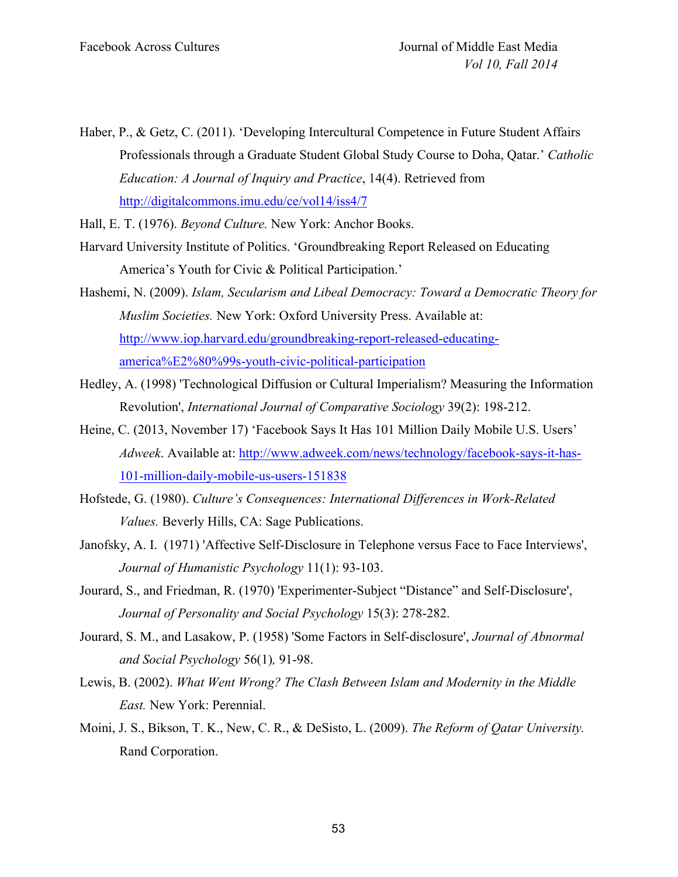Haber, P., & Getz, C. (2011). 'Developing Intercultural Competence in Future Student Affairs Professionals through a Graduate Student Global Study Course to Doha, Qatar.' *Catholic Education: A Journal of Inquiry and Practice*, 14(4). Retrieved from http://digitalcommons.imu.edu/ce/vol14/iss4/7

Hall, E. T. (1976). *Beyond Culture.* New York: Anchor Books.

- Harvard University Institute of Politics. 'Groundbreaking Report Released on Educating America's Youth for Civic & Political Participation.'
- Hashemi, N. (2009). *Islam, Secularism and Libeal Democracy: Toward a Democratic Theory for Muslim Societies.* New York: Oxford University Press. Available at: http://www.iop.harvard.edu/groundbreaking-report-released-educatingamerica%E2%80%99s-youth-civic-political-participation
- Hedley, A. (1998) 'Technological Diffusion or Cultural Imperialism? Measuring the Information Revolution', *International Journal of Comparative Sociology* 39(2): 198-212.
- Heine, C. (2013, November 17) 'Facebook Says It Has 101 Million Daily Mobile U.S. Users' *Adweek*. Available at: http://www.adweek.com/news/technology/facebook-says-it-has-101-million-daily-mobile-us-users-151838
- Hofstede, G. (1980). *Culture's Consequences: International Differences in Work-Related Values.* Beverly Hills, CA: Sage Publications.
- Janofsky, A. I. (1971) 'Affective Self-Disclosure in Telephone versus Face to Face Interviews', *Journal of Humanistic Psychology* 11(1): 93-103.
- Jourard, S., and Friedman, R. (1970) 'Experimenter-Subject "Distance" and Self-Disclosure', *Journal of Personality and Social Psychology* 15(3): 278-282.
- Jourard, S. M., and Lasakow, P. (1958) 'Some Factors in Self-disclosure', *Journal of Abnormal and Social Psychology* 56(1)*,* 91-98.
- Lewis, B. (2002). *What Went Wrong? The Clash Between Islam and Modernity in the Middle East.* New York: Perennial.
- Moini, J. S., Bikson, T. K., New, C. R., & DeSisto, L. (2009). *The Reform of Qatar University.* Rand Corporation.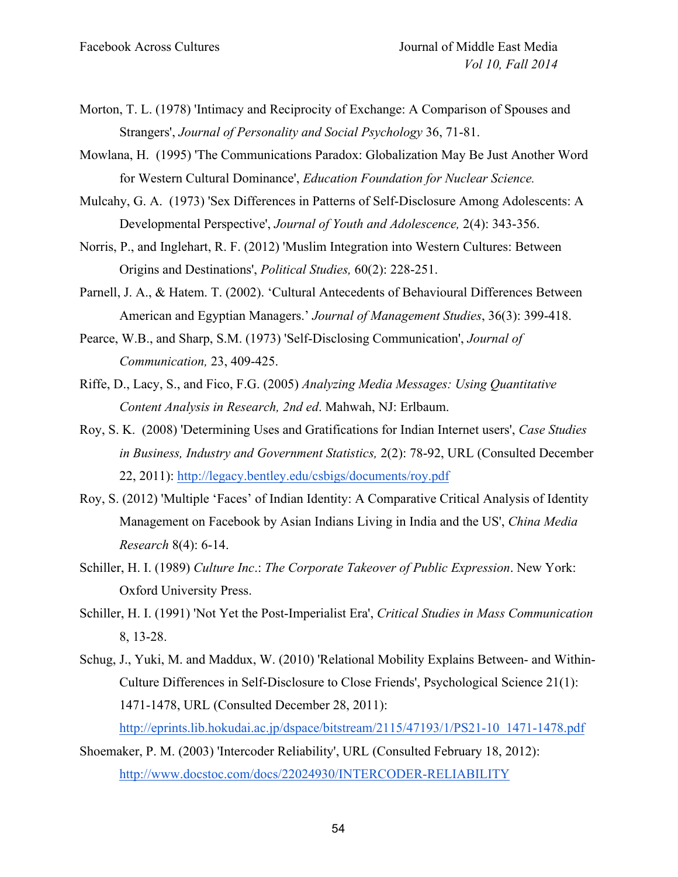- Morton, T. L. (1978) 'Intimacy and Reciprocity of Exchange: A Comparison of Spouses and Strangers', *Journal of Personality and Social Psychology* 36, 71-81.
- Mowlana, H. (1995) 'The Communications Paradox: Globalization May Be Just Another Word for Western Cultural Dominance', *Education Foundation for Nuclear Science.*
- Mulcahy, G. A. (1973) 'Sex Differences in Patterns of Self-Disclosure Among Adolescents: A Developmental Perspective', *Journal of Youth and Adolescence,* 2(4): 343-356.
- Norris, P., and Inglehart, R. F. (2012) 'Muslim Integration into Western Cultures: Between Origins and Destinations', *Political Studies,* 60(2): 228-251.
- Parnell, J. A., & Hatem. T. (2002). 'Cultural Antecedents of Behavioural Differences Between American and Egyptian Managers.' *Journal of Management Studies*, 36(3): 399-418.
- Pearce, W.B., and Sharp, S.M. (1973) 'Self-Disclosing Communication', *Journal of Communication,* 23, 409-425.
- Riffe, D., Lacy, S., and Fico, F.G. (2005) *Analyzing Media Messages: Using Quantitative Content Analysis in Research, 2nd ed*. Mahwah, NJ: Erlbaum.
- Roy, S. K. (2008) 'Determining Uses and Gratifications for Indian Internet users', *Case Studies in Business, Industry and Government Statistics,* 2(2): 78-92, URL (Consulted December 22, 2011): http://legacy.bentley.edu/csbigs/documents/roy.pdf
- Roy, S. (2012) 'Multiple 'Faces' of Indian Identity: A Comparative Critical Analysis of Identity Management on Facebook by Asian Indians Living in India and the US', *China Media Research* 8(4): 6-14.
- Schiller, H. I. (1989) *Culture Inc*.: *The Corporate Takeover of Public Expression*. New York: Oxford University Press.
- Schiller, H. I. (1991) 'Not Yet the Post-Imperialist Era', *Critical Studies in Mass Communication* 8, 13-28.
- Schug, J., Yuki, M. and Maddux, W. (2010) 'Relational Mobility Explains Between- and Within-Culture Differences in Self-Disclosure to Close Friends', Psychological Science 21(1): 1471-1478, URL (Consulted December 28, 2011):
- http://eprints.lib.hokudai.ac.jp/dspace/bitstream/2115/47193/1/PS21-10\_1471-1478.pdf Shoemaker, P. M. (2003) 'Intercoder Reliability', URL (Consulted February 18, 2012):
- http://www.docstoc.com/docs/22024930/INTERCODER-RELIABILITY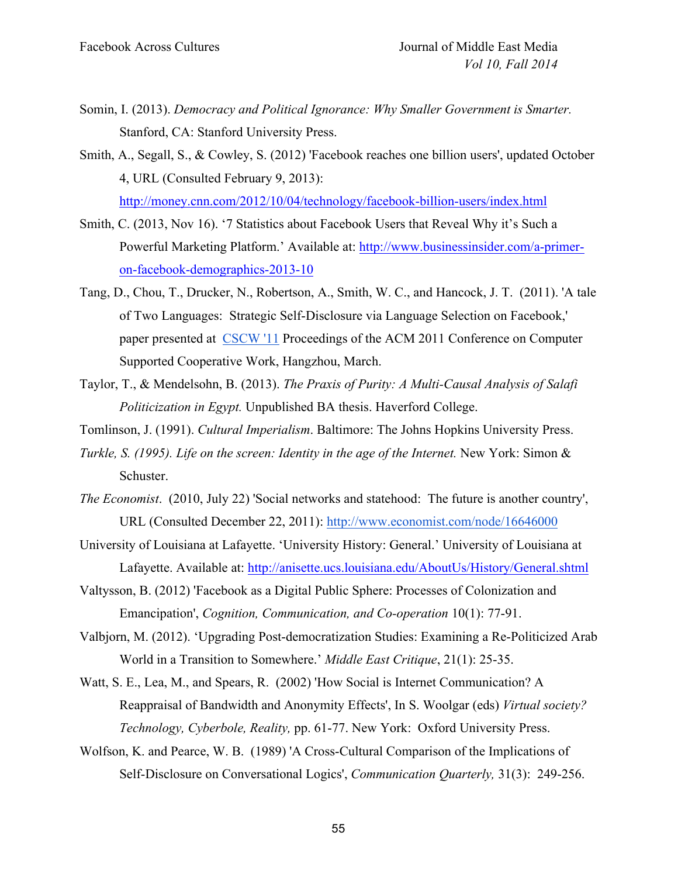- Somin, I. (2013). *Democracy and Political Ignorance: Why Smaller Government is Smarter.* Stanford, CA: Stanford University Press.
- Smith, A., Segall, S., & Cowley, S. (2012) 'Facebook reaches one billion users', updated October 4, URL (Consulted February 9, 2013): http://money.cnn.com/2012/10/04/technology/facebook-billion-users/index.html
- Smith, C. (2013, Nov 16). '7 Statistics about Facebook Users that Reveal Why it's Such a Powerful Marketing Platform.' Available at: http://www.businessinsider.com/a-primeron-facebook-demographics-2013-10
- Tang, D., Chou, T., Drucker, N., Robertson, A., Smith, W. C., and Hancock, J. T. (2011). 'A tale of Two Languages: Strategic Self-Disclosure via Language Selection on Facebook,' paper presented at CSCW '11 Proceedings of the ACM 2011 Conference on Computer Supported Cooperative Work, Hangzhou, March.
- Taylor, T., & Mendelsohn, B. (2013). *The Praxis of Purity: A Multi-Causal Analysis of Salafi Politicization in Egypt.* Unpublished BA thesis. Haverford College.
- Tomlinson, J. (1991). *Cultural Imperialism*. Baltimore: The Johns Hopkins University Press.
- *Turkle, S. (1995). Life on the screen: Identity in the age of the Internet. New York: Simon &* Schuster.
- *The Economist*. (2010, July 22) 'Social networks and statehood: The future is another country', URL (Consulted December 22, 2011): http://www.economist.com/node/16646000
- University of Louisiana at Lafayette. 'University History: General.' University of Louisiana at Lafayette. Available at: http://anisette.ucs.louisiana.edu/AboutUs/History/General.shtml
- Valtysson, B. (2012) 'Facebook as a Digital Public Sphere: Processes of Colonization and Emancipation', *Cognition, Communication, and Co-operation* 10(1): 77-91.
- Valbjorn, M. (2012). 'Upgrading Post-democratization Studies: Examining a Re-Politicized Arab World in a Transition to Somewhere.' *Middle East Critique*, 21(1): 25-35.
- Watt, S. E., Lea, M., and Spears, R. (2002) 'How Social is Internet Communication? A Reappraisal of Bandwidth and Anonymity Effects', In S. Woolgar (eds) *Virtual society? Technology, Cyberbole, Reality,* pp. 61-77. New York: Oxford University Press.
- Wolfson, K. and Pearce, W. B. (1989) 'A Cross-Cultural Comparison of the Implications of Self-Disclosure on Conversational Logics', *Communication Quarterly,* 31(3): 249-256.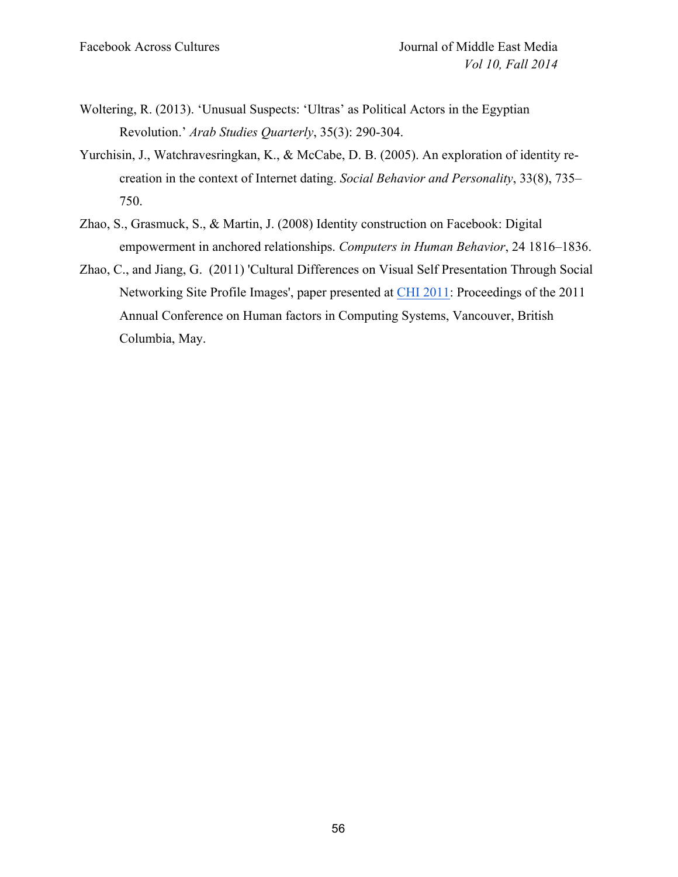- Woltering, R. (2013). 'Unusual Suspects: 'Ultras' as Political Actors in the Egyptian Revolution.' *Arab Studies Quarterly*, 35(3): 290-304.
- Yurchisin, J., Watchravesringkan, K., & McCabe, D. B. (2005). An exploration of identity recreation in the context of Internet dating. *Social Behavior and Personality*, 33(8), 735– 750.
- Zhao, S., Grasmuck, S., & Martin, J. (2008) Identity construction on Facebook: Digital empowerment in anchored relationships. *Computers in Human Behavior*, 24 1816–1836.
- Zhao, C., and Jiang, G. (2011) 'Cultural Differences on Visual Self Presentation Through Social Networking Site Profile Images', paper presented at CHI 2011: Proceedings of the 2011 Annual Conference on Human factors in Computing Systems, Vancouver, British Columbia, May.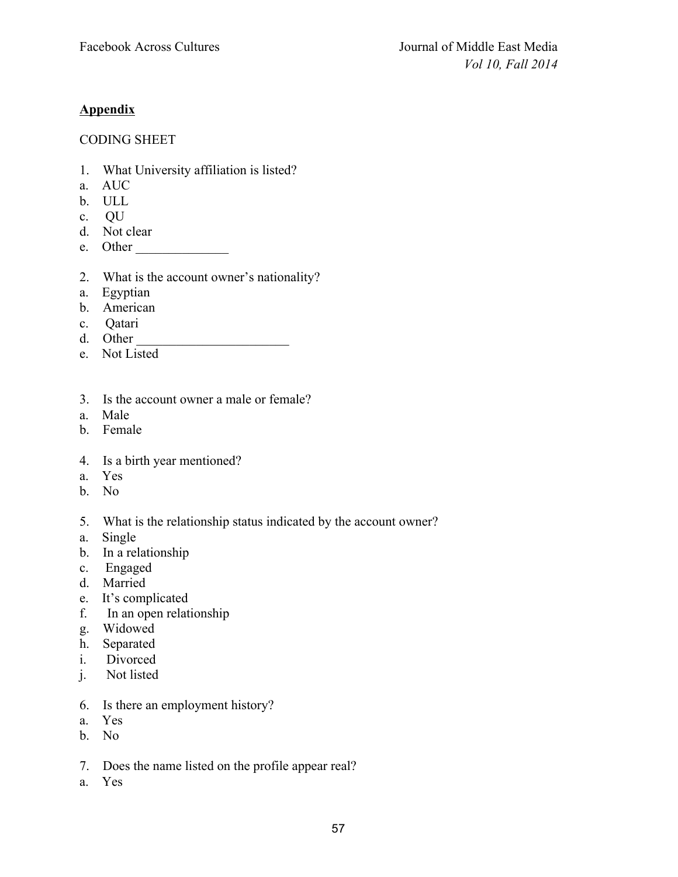# **Appendix**

# CODING SHEET

- 1. What University affiliation is listed?
- a. AUC
- b. ULL
- c. QU
- d. Not clear
- e. Other \_\_\_\_\_\_\_\_\_\_\_\_\_\_
- 2. What is the account owner's nationality?
- a. Egyptian
- b. American
- c. Qatari
- d. Other
- e. Not Listed
- 3. Is the account owner a male or female?
- a. Male
- b. Female
- 4. Is a birth year mentioned?
- a. Yes
- b. No
- 5. What is the relationship status indicated by the account owner?
- a. Single
- b. In a relationship
- c. Engaged
- d. Married
- e. It's complicated
- f. In an open relationship
- g. Widowed
- h. Separated
- i. Divorced
- j. Not listed
- 6. Is there an employment history?
- a. Yes
- b. No
- 7. Does the name listed on the profile appear real?
- a. Yes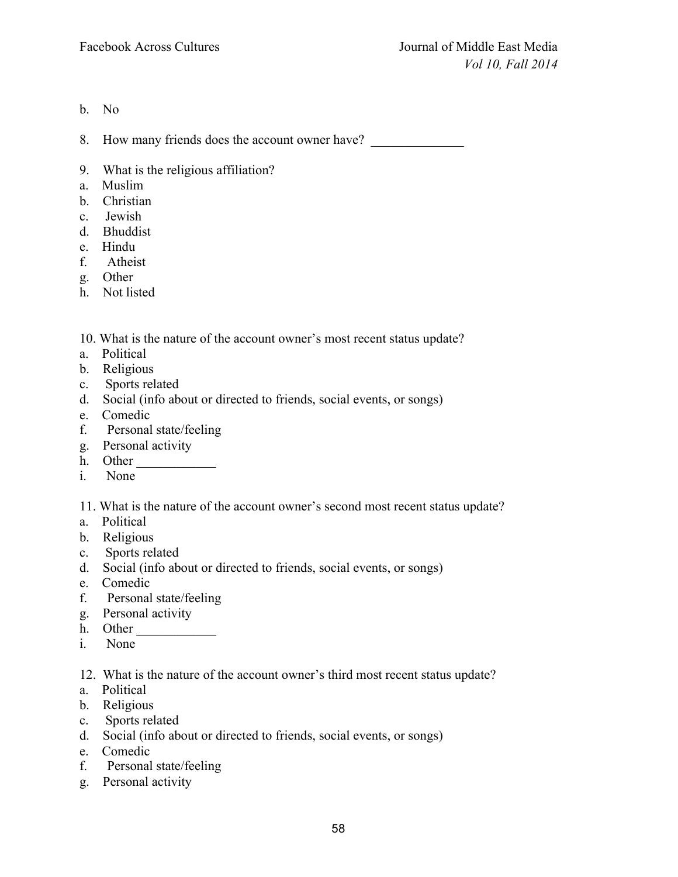b. No

8. How many friends does the account owner have?

- 9. What is the religious affiliation?
- a. Muslim
- b. Christian
- c. Jewish
- d. Bhuddist
- e. Hindu
- f. Atheist
- g. Other
- h. Not listed

10. What is the nature of the account owner's most recent status update?

- a. Political
- b. Religious
- c. Sports related
- d. Social (info about or directed to friends, social events, or songs)
- e. Comedic
- f. Personal state/feeling
- g. Personal activity
- h. Other
- i. None
- 11. What is the nature of the account owner's second most recent status update?
- a. Political
- b. Religious
- c. Sports related
- d. Social (info about or directed to friends, social events, or songs)
- e. Comedic
- f. Personal state/feeling
- g. Personal activity
- h. Other  $\qquad \qquad$
- i. None
- 12. What is the nature of the account owner's third most recent status update?
- a. Political
- b. Religious
- c. Sports related
- d. Social (info about or directed to friends, social events, or songs)
- e. Comedic
- f. Personal state/feeling
- g. Personal activity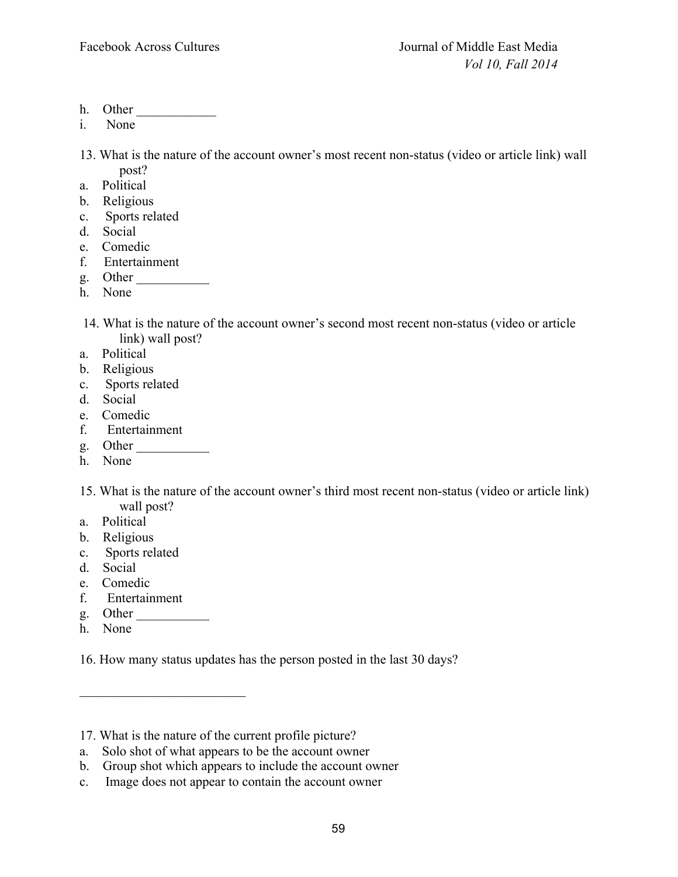- h. Other
- i. None

13. What is the nature of the account owner's most recent non-status (video or article link) wall post?

- a. Political
- b. Religious
- c. Sports related
- d. Social
- e. Comedic
- f. Entertainment
- g. Other \_\_\_\_\_\_\_\_\_\_\_
- h. None
- 14. What is the nature of the account owner's second most recent non-status (video or article link) wall post?
- a. Political
- b. Religious
- c. Sports related
- d. Social
- e. Comedic
- f. Entertainment
- g. Other \_\_\_\_\_\_\_\_\_\_\_
- h. None
- 15. What is the nature of the account owner's third most recent non-status (video or article link) wall post?
- a. Political
- b. Religious
- c. Sports related
- d. Social
- e. Comedic
- f. Entertainment

\_\_\_\_\_\_\_\_\_\_\_\_\_\_\_\_\_\_\_\_\_\_\_\_\_

- g. Other \_\_\_\_\_\_\_\_\_\_\_
- h. None

16. How many status updates has the person posted in the last 30 days?

a. Solo shot of what appears to be the account owner

c. Image does not appear to contain the account owner

<sup>17.</sup> What is the nature of the current profile picture?

b. Group shot which appears to include the account owner